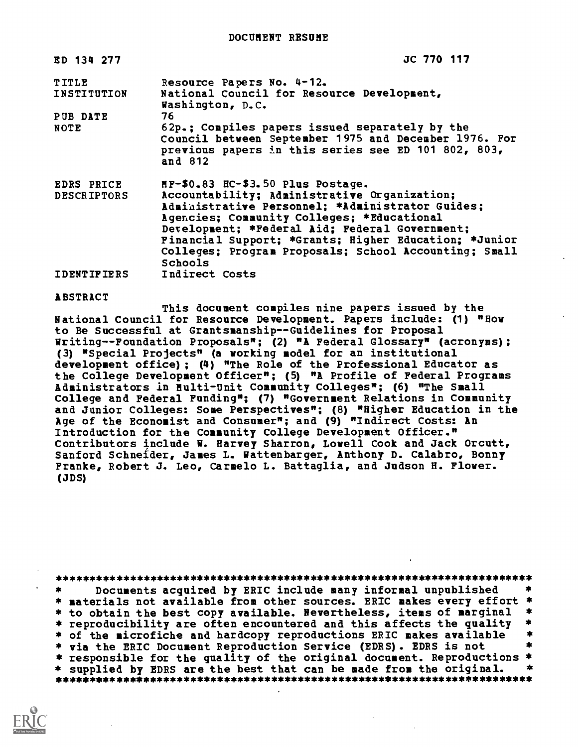| ED 134 277         | JC 770 117                                                     |
|--------------------|----------------------------------------------------------------|
| TITLE              | Resource Papers No. 4-12.                                      |
| INSTITUTION        | National Council for Resource Development,<br>Washington, D.C. |
| PUB DATE           | 76.                                                            |
| NOTE               | 62p.; Compiles papers issued separately by the                 |
|                    | Council between September 1975 and December 1976. For          |
|                    | previous papers in this series see ED 101 802, 803,<br>and 812 |
| <b>EDRS PRICE</b>  | MF-\$0.83 HC-\$3.50 Plus Postage.                              |
| <b>DESCRIPTORS</b> | Accountability; Administrative Organization;                   |
|                    | Administrative Personnel; *Administrator Guides;               |
|                    | Agencies; Community Colleges; *Educational                     |
|                    | Development; *Federal Aid; Federal Government;                 |
|                    | Financial Support; *Grants; Higher Education; *Junior          |
|                    | Colleges; Program Proposals; School Accounting; Small          |
|                    | <b>Schools</b>                                                 |
| <b>IDENTIFIERS</b> | Indirect Costs                                                 |
|                    |                                                                |

#### ABSTRACT

This document compiles nine papers issued by the National Council for Resource Development. Papers include: (1) "Hoy to Be Successful at Grantsmanship--Guidelines for Proposal Writing--Foundation Proposals"; (2) "A Federal Glossary" (acronyms); (3) "Special Projects" (a working model for an institutional development office); (4) "The Role of the Professional Educator as the College Development Officer"; (5) "A Profile of Federal Programs Administrators in Multi-Unit Community Colleges"; (6) "The Small College and Federal Funding"; (7) "Government Relations in Community and Junior Colleges: Some Perspectives"; (8) "Higher Education in the Age of the Economist and Consumer"; and (9) "Indirect Costs: An Introduction for the Community College Development Officer." Contributors include W. Harvey Sharron, Lowell Cook and Jack Orcutt, Sanford Schneider, James L. Vattenbarger, Anthony D. Calabro, Bonny Franke, Robert J. Leo, Carmelo L. Battaglia, and Judson H. Floyer. (JDS)

| $\star$ | Documents acquired by ERIC include many informal unpublished            |      |
|---------|-------------------------------------------------------------------------|------|
|         | * materials not available from other sources. ERIC makes every effort * |      |
|         | * to obtain the best copy available. Nevertheless, items of marginal *  |      |
|         | * reproducibility are often encountered and this affects the quality *  |      |
|         | * of the microfiche and hardcopy reproductions ERIC makes available     |      |
|         | * via the ERIC Document Reproduction Service (EDRS). EDRS is not        |      |
|         | * responsible for the quality of the original document. Reproductions * |      |
|         | * supplied by EDRS are the best that can be made from the original.     | — ≭x |
|         |                                                                         |      |

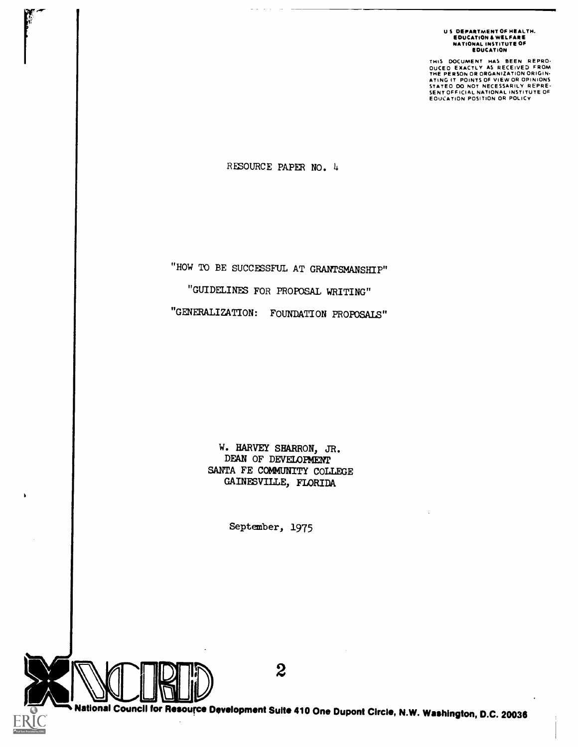U S DEPARTMENT OF HEALTH.<br>Education & Welfare<br>National Institute of<br>Education

THIS DOCUMENT HAS BEEN REPRO-<br>OUCEO EXACTLY AS RECEIVED FROM<br>THE PERSON OR ORGANIZATION ORIGIN-<br>ATING IT POINTS OF VIEW OR OPINIONS<br>STATEO DO NOT NECESSARILY REPRE-<br>EOUCATION POSITION OR POLICY<br>EOUCATION POSITION OR POLICY

RESOURCE PAPER NO. 4

"HOW TO BE SUCCESSFUL AT GRANTSMANSHIP" "GUIDELINES FOR PROPOSAL WRITING" "GENERALIZATION: FOUNDATION PROPOSALS"

> W. HARVEY SHARRON, JR. DEAN OF DEVELOPMENT SANTA FE COMMUNITY COLLEGE GAINESVILLE, FLORIDA

> > September, 1975



National Council for Resource Development Suite 410 One Dupont Circle, N.W. Washington, D.C. 20036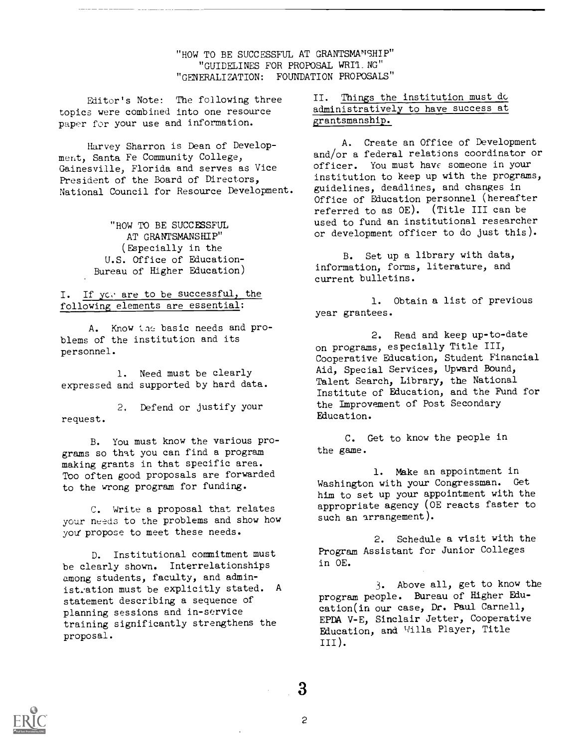"HOW TO BE SUCCESSFUL AT GRANTSMANSHIP" "GUIDELINES FOR PROPOSAL WRI1\_NG" "GENERALIZATION: FOUNDATION PROPOSALS"

Editor's Note: The following three topics were combined into one resource paper for your use and information.

Harvey Sharron is Dean of Development, Santa Fe Community College, Gainesville, Florida and serves as Vice President of the Board of Directors, National Council for Resource Development.

> "HOW TO BE SUCCESSFUL AT GRANTSMANSHIP" (Especially in the U.S. Office of Education-Bureau of Higher Education)

#### I. If you are to be successful, the following elements are essential:

A. Know the basic needs and problems of the institution and its personnel.

1. Need must be clearly expressed and supported by hard data.

2. Defend or justify your request.

B. You must know the various programs so that you can find a program making grants in that specific area. Too often good proposals are forwarded to the wrong program for funding.

C. Write a proposal that relates your needs to the problems and show how you'propose to meet these needs.

D. Institutional commitment must be clearly shown. Interrelationships among students, faculty, and administration must be explicitly stated. A statement describing a sequence of planning sessions and in-service training significantly strengthens the proposal.

## II. Things the institution must do administratively to have success at grantsmanship.

A. Create an Office of Development and/or a federal relations coordinator or officer. You must have someone in your institution to keep up with the programs, guidelines, deadlines, and changes in Office of Education personnel (hereafter referred to as OE). (Title III can be used to fund an institutional researcher or development officer to do just this).

B. Set up a library with data, information, forms, literature, and current bulletins.

1. Obtain a list of previous year grantees.

2. Read and keep up-to-date on programs, especially Title III, Cooperative Education, Student Financial Aid, Special Services, Upward Bound, Talent Search, Library, the National Institute of Education, and the Fund for the Improvement of Post Secondary Education.

C. Get to know the people in the game.

1. Make an appointment in Washington with your Congressman. Get him to set up your appointment with the appropriate agency (OE reacts faster to such an arrangement).

2. Schedule a visit with the Program Assistant for Junior Colleges in OE.

3. Above all, get to know the program people. Bureau of Higher Education(in our case, Dr. Paul Carnell, EPDA V-E, Sinclair Jetter, Cooperative Education, and Willa Player, Title III).



3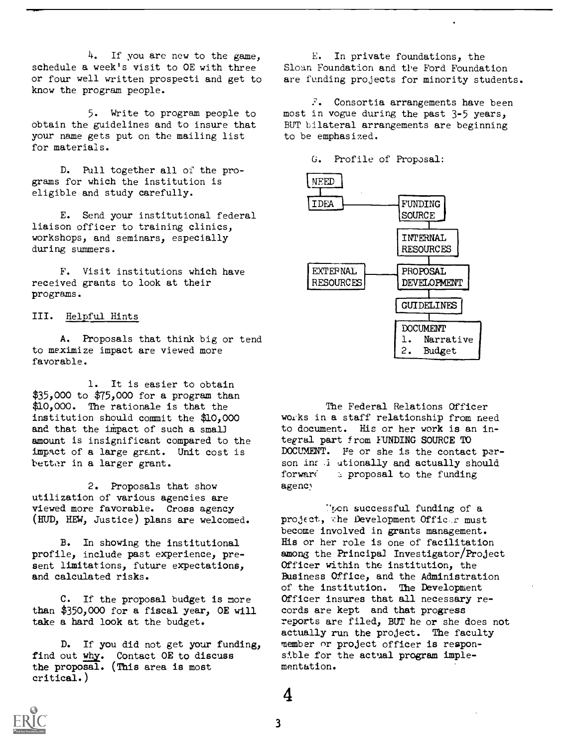$4.$  If you are new to the game, schedule a week's visit to OE with three or four well written prospecti and get to know the program people.

5. Write to program people to obtain the guidelines and to insure that your name gets put on the mailing list for materials.

D. Pull together all of the programs for which the institution is eligible and study carefully.

E. Send your institutional federal liaison officer to training clinics, workshops, and seminars, especially during summers.

F. Visit institutions which have received grants to look at their programs.

## III. Helpful Hints

A. Proposals that think big or tend to meximize impact are viewed more favorable.

1. It is easier to obtain \$35,000 to \$75,000 for a program than \$10,000. The rationale is that the institution should commit the \$10,000 and that the impact of such a small amount is insignificant compared to the impact of a large grant. Unit cost is better in a larger grant.

2. Proposals that show utilization of various agencies are viewed more favorable. Cross agency (HUD, HEW, Justice) plans are welcomed.

B. In showing the institutional profile, include past experience, present limitations, future expectations, and calculated risks.

C. If the proposal budget is more than \$350,000 for a fiscal year, OE will take a hard look at the budget.

D. If you did not get your funding, find out why. Contact OE to discuss the proposal. (This area is most critical.)

E. In private foundations, the Sloan Foundation and tl'e Ford Foundation are funding projects for minority students.

 $\Sigma$ . Consortia arrangements have been most in vogue during the past 3-5 years, BUT bilateral arrangements are beginning to be emphasized.

G. Profile of Proposal:



The Federal Relations Officer woiks in a staff relationship from need to document. His or her work is an integral part from FUNDING SOURCE TO DOCUMENT. Fe or she is the contact person in: i utionally and actually should forward  $\epsilon$  proposal to the funding agency

Then successful funding of a project, the Development Officer must become involved in grants management. His or her role is one of facilitation among the Principal Investigator/Project Officer within the institution, the Business Office, and the Administration of the institution. The Development Officer insures that all necessary records are kept and that progress reports are filed, BUT he or she does not actually run the project. The faculty member or project officer is responsible for the actual program implementation.



4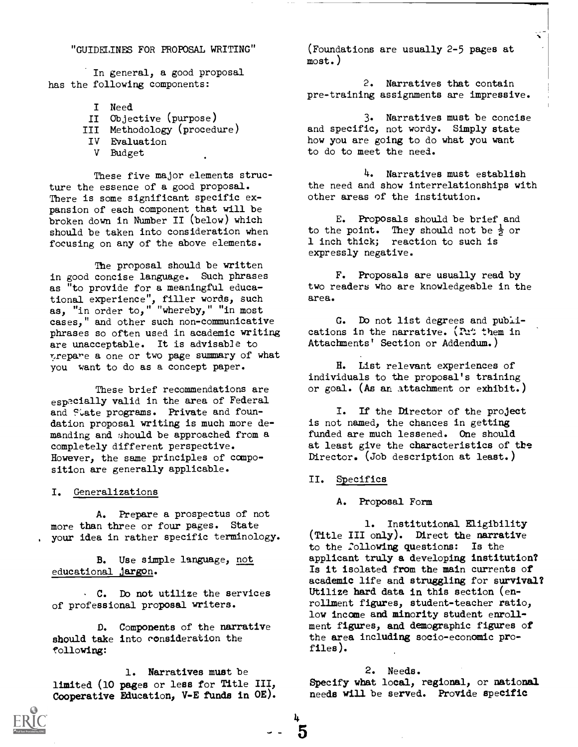## "GUIDELINES FOR PROPOSAL WRITING"

In general, a good proposal has the following components:

- I Need
- II Objective (purpose) III Methodology (procedure) IV Evaluation V Budget

These five major elements structure the essence of a good proposal. There is some significant specific expansion of each component that will be broken down in Number II (below) which should be taken into consideration when focusing on any of the above elements.

The proposal should be written in good concise language. Such phrases as "to provide for a meaningful educational experience", filler words, such as, "in order to," "whereby," "in most cases," and other such non-communicative phrases so often used in academic writing are unacceptable. It is advisable to prepare a one or two page summary of what you want to do as a concept paper.

These brief recommendations are especially valid in the area of Federal and Flate programs. Private and foundation proposal writing is much more demanding and should be approached from a completely different perspective. However, the same principles of composition are generally applicable.

#### I. Generalizations

A. Prepare a prospectus of not more than three or four pages. State your idea in rather specific terminology.

B. Use simple language, not educational jargon.

. C. Do not utilize the services of professional proposal writers.

D. Components of the narrative should take into consideration the following:

1. Narratives must be limited (10 pages or less for Title III, Cooperative Education, V-E funds in OE).

(Foundations are usually 2-5 pages at most.)

2. Narratives that contain pre-training assignments are impressive.

∼

3. Narratives must be concise and specific, not wordy. Simply state how you are going to do what you want to do to meet the need.

4. Narratives must establish the need and show interrelationships with other areas of the institution.

E. Proposals should be brief and to the point. They should not be  $\frac{1}{2}$  or 1 inch thick; reaction to such is expressly negative.

F. Proposals are usually read by two readers who are knowledgeable in the area.

G. Do not list degrees and publications in the narrative. (Put them in Attachments' Section or Addendum.)

H. List relevant experiences of individuals to the proposal's training or goal. (As an attachment or exhibit.)

I. If the Director of the project is not named, the chances in getting funded are much lessened. One should at least give the characteristics of the Director. (Job description at least.)

#### II. Specifics

4

5

A. Proposal Form

1. Institutional Eligibility (Title III only). Direct the narrative to the 2ollowing questions: Is the applicant truly a developing institution? Is it isolated from the main currents of academic life and struggling for survival? Utilize hard data in this section (enrollment figures, student-teacher ratio, low income and minority student enrollment figures, and demographic figures of the area including socio-economic profiles).

## 2. Needs.

Specify what local, regional, or national needs will be served. Provide specific

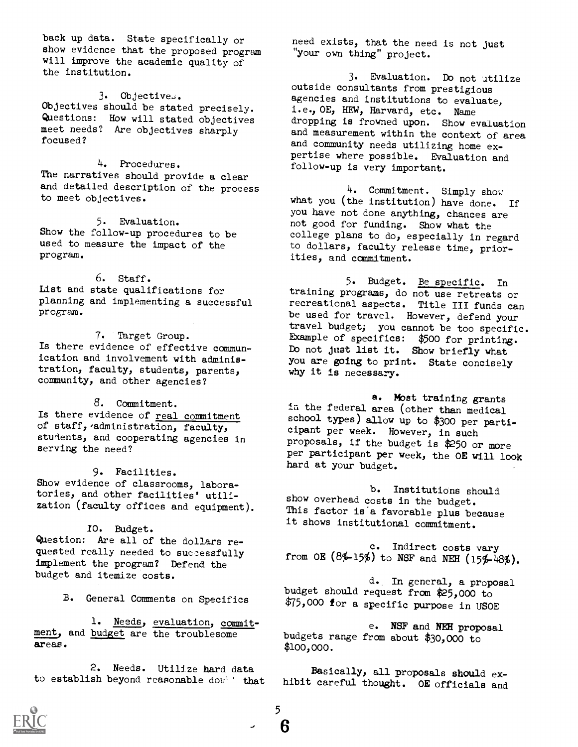back up data. State specifically or show evidence that the proposed program will improve the academic quality of the institution.

 $3.$  Objectives.

Objectives should be stated precisely. Questions: How will stated objectives meet needs? Are objectives sharply focused?

4. Procedures. The narratives should provide a clear and detailed description of the process to meet objectives.

5. Evaluation. Show the follow-up procedures to be used to measure the impact of the program.

6. Staff. List and state qualifications for planning and implementing a successful program.

7. Target Group. Is there evidence of effective commun ication and involvement with administration, faculty, students, parents, community, and other agencies?

8. Commitment. Is there evidence of real commitment of staff, administration, faculty, students, and cooperating agencies in serving the need?

9. Facilities. Show evidence of classrooms, laboratories, and other facilities' utilization (faculty offices and equipment).

## /O. Budget.

Question: Are all of the dollars requested really needed to successfully implement the program? Defend the budget and itemize costs.

B. General Comments on Specifics

1. Needs, evaluation, commitment, and budget are the troublesome areas.

2. Needs. Utilize hard data 2. Needs. Utilize hard data<br>to establish beyond reasonable dou' that hibit careful thought. OE officials and

need exists, that the need is not just "your own thing" project.

3. Evaluation. Do not utilize outside consultants from prestigious agencies and institutions to evaluate, i.e., OE, HEW, Harvard, etc. Name dropping is frowned upon. Show evaluation and measurement within the context of area<br>and community needs utilizing home expertise where possible. Evaluation and follow-up is very important.

4. Commitment. Simply show what you (the institution) have done. If<br>you have not done anything, chances are not good for funding. Show what the college plans to do, especially in regard to dollars, faculty release time, priorities, and commitment.

5. Budget. Be specific. In training programs, do not use retreats or recreational aspects. Title III funds can be used for travel. However, defend your travel budget; you cannot be too specific. Example of specifics: \$500 for printing. Do not just list it. Show briefly what you are going to print. State concisely why it is necessary.

a. Mbst training grants in the federal area (other than medical school types) allow up to \$300 per participant per week. However, in such proposals, if the budget is \$250 or more per participant per week, the OE will look hard at your budget.

b. Institutions should show overhead costs in the budget. This factor is a favorable plus because it shows institutional commitment.

c. Indirect costs vary from OE  $(8\frac{1}{2}\frac{15\%}{10})$  to NSF and NEH  $(15\frac{1}{2}\frac{1}{16}\%).$ 

d. In general, a proposal budget should request from \$25,000 to \$75,000 for a specific purpose in USOE

e. NSF and NEH proposal budgets range from about \$30,000 to \$100,000.

hibit careful thought. OE officials and



5  $-$  6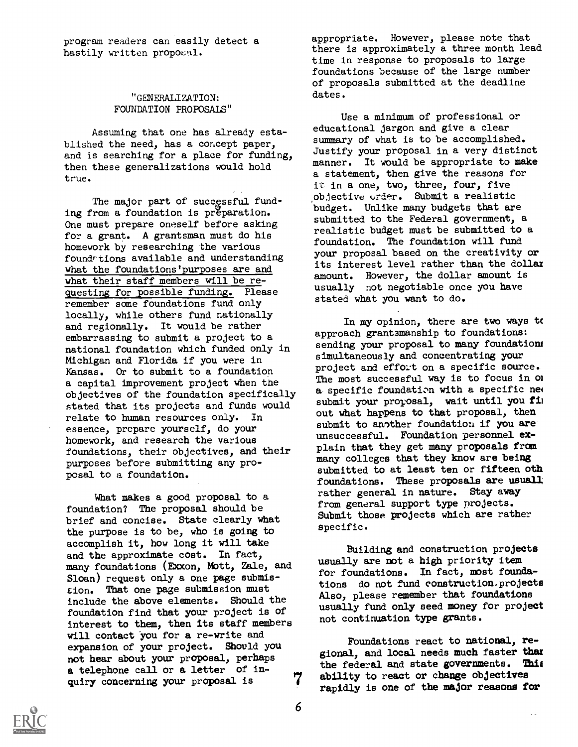program readers can easily detect a hastily written proposal.

## "GENERALIZATION: FOUNDATION PROPOSALS"

Assuming that one has already established the need, has a concept paper, and is searching for a place for funding, then these generalizations would hold true.

The major part of successful funding from a foundation is preparation. One must prepare oneself before asking for a grant. A grantsman must do his homework by researching the various foundriions available and understanding what the foundations'purposes are and what their staff members will be requesting for possible funding. Please remember some foundations fund only locally, while others fund nationally and regionally. It would be rather embarrassing to submit a project to a national foundation which funded only in Michigan and Florida if you were in Kansas. Or to submit to a foundation a capital improvement project when the objectives of the foundation specifically stated that its projects and funds would relate to human resources only. In essence, prepare yourself, do your homework, and research the various foundations, their objectives, and their purposes before submitting any proposal to a foundation.

What makes a good proposal to a foundation? The proposal should be brief and concise. State clearly what the purpose is to be, who is going to accomplish it, how long it will take and the approximate cost. In fact, many foundations (Exxon, Mott, Zale, and Sloan) request only a one page submiscion. That one page stibmission must include the above elements. Should the foundation find that your project is of interest to them, then its staff members will contact you for a re-write and expansion of your project. Should you not hear about your proposal, perhaps a telephone call or a letter of inquiry concerning your proposal is 7 appropriate. However, please note that there is approximately a three month lead time in response to proposals to large foundations because of the large number of proposals submitted at the deadline dates.

Use a minimum of professional or educational jargon and give a clear summary of what is to be accomplished. Justify your proposal in a very distinct manner. It would be appropriate to make a statement, then give the reasons for it in a one, two, three, four, five objective order. Submit a realistic budget. Unlike many budgets that are submitted to the Federal government, a realistic budget must be submitted to a foundation. The foundation will fund your proposal based on the creativity or its interest level rather than the dollar amount. However, the dollar amount is usually not negotiable once you have stated what you want to do.

In my opinion, there are two ways to approach grantsmanship to foundations: sending your proposal to many foundations simultaneously and concentrating your project and effort on a specific source. The most successful way is to focus in om a.specific foundatim with a specific nei submit your proposal, wait until you fil out what happens to that proposal, then submit to another foundation if you are unsuccessful. Foundation personnel explain that they get many proposals from many colleges that they know are being submitted to at least ten or fifteen oth foundations. These proposals are usuall rather general in nature. Stay away from general support type projects. Submit those projects which are rather specific.

Building and construction projects usually are not a high priority item for foundations. In fact, most foundations do not fund construction.projects Also, please remember that foundations usually fund only seed money for project not continuation type grants.

Foundations react to national, regional, and local needs much faster than the federal and state governments. This the federal and state governments. ability to react or change objectives rapidly is one of the major reasons for

 $\bar{\mathcal{L}}$  .

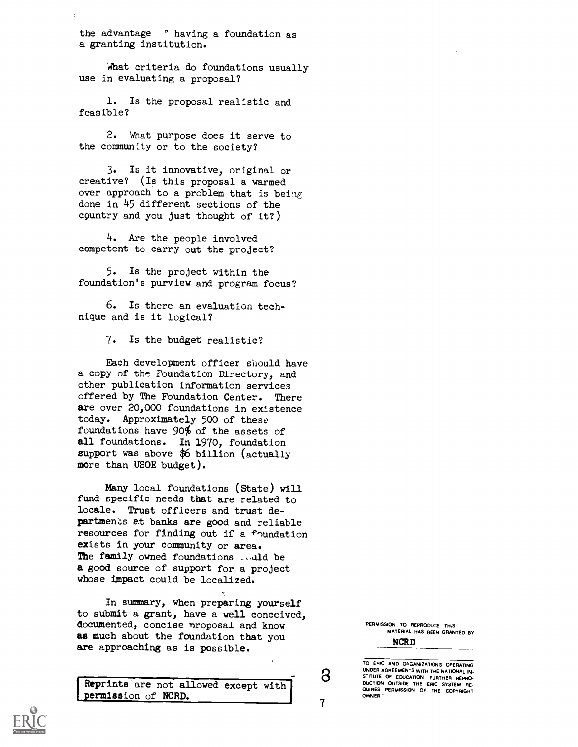the advantage ° having a foundation as a granting institution.

What criteria do foundations usually use in evaluating a proposal?

1. Is the proposal realistic and feasible?

2. What purpose does it serve to the community or to the society?

3. Is it innovative, original or creative? (Is this proposal a warmed over approach to a problem that is being done in 45 different sections of the country and you just thought of it?)

4. Are the people involved competent to carry out the project?

5. Is the project within the foundation's purview and program focus?

6. Is there an evaluation technique and is it logical?

7. Is the budget realistic?

Each development officer should have a copy of the Foundation Directory, and other publication information services offered by The Foundation Center. There are over 20,000 foundations in existence today. Approximately 500 of these foundations have 90% of the assets of all foundations. In 1970, foundation eupport was above \$6 billion (actually more than USOE budget).

Many local foundations (State) will fund specific needs that are related to locale. Trust officers and trust departments at banks are good and reliable resources for finding out if a foundation exists in your community or area. The family owned foundations ... uld be a good source of support for a project whose impact could be localized.

In summary, when preparing yourself to submit a grant, have a well conceived, documented, concise nroposal and know as much about the foundation that you are approaching as is possible.

Reprints are not allowed except with permission of NCRD.

'PERMISSION TO REPRODUCE THS MATERIAL HAS BEEN GRANTED BY

NCRD

8

 $\overline{7}$ 

TO ERIC AND ORGANIZATIONS OPERATING UNDER AGREEMENTS WITH THE NATIONAL IN-<br>STITUTE OF EDUCATION FURTHER REPRO-<br>DUCTION OUTSIDE THE ERIC SYSTEM RE-QUIRES PERMISSION OF THE COPYRIGHT OWNER

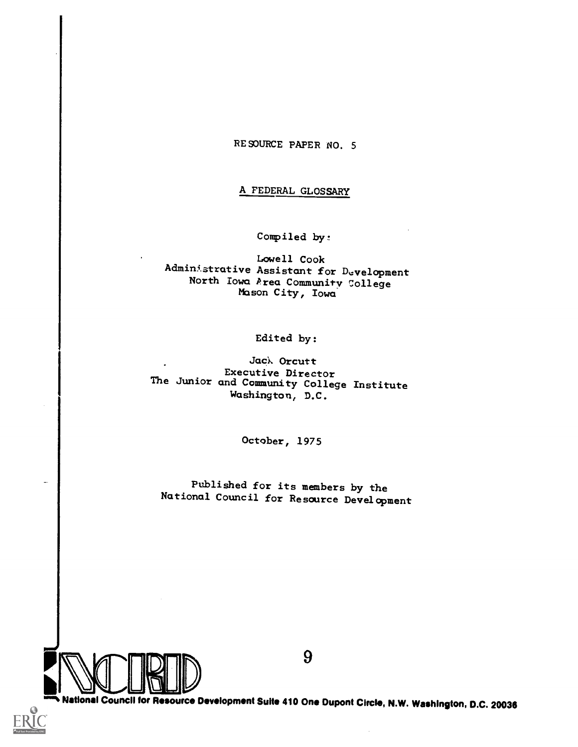RESOURCE PAPER NO. 5

## A FEDERAL GLOSSARY

Compiled by:

Lowell Cook Admin5.strative Assistant for Development North Iowa Prea Community College Mason City, Iowa

Edited by:

Jack Orcutt<br>Executive Director Executive Director The Junior and Community College Institute Washington, D.C.

October, 1975

Published for its members by the National Council for Resource Development



9

am% National Council tor Resource Development Suite 410 One Dupont Circle, N.W. Washington, D.C. 20036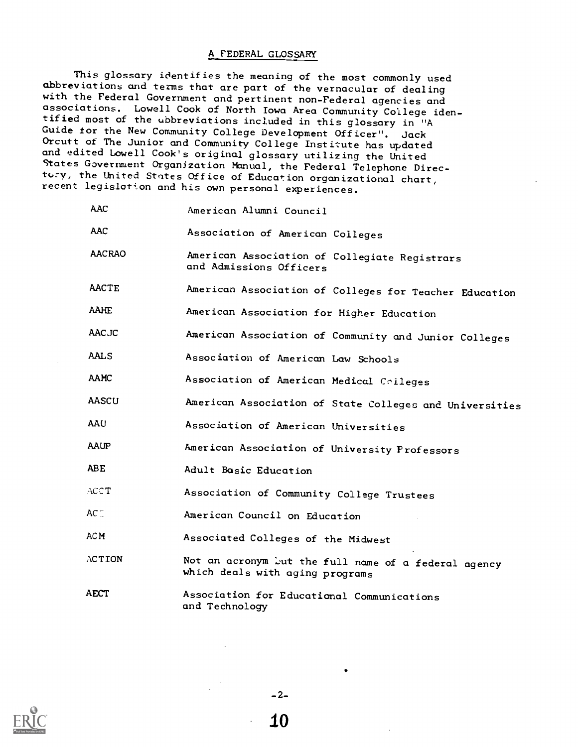## A FEDERAL GLOSSARY

This glossary identifies the meaning of the most commonly used abbreviations and terms that are part of the vernacular of dealing with the Federal Government and pertinent non-Federal agencies and associations. Lowell Cook of North Iowa Area Community College iden- tified most of the ubbreviations included in this glossary in "A Guide for the New Community College Development Officer". Jack<br>Orcutt of The Junior and Community College Institute has updated and edited Lowell Cook's original glossary utilizing the United States Government Organization Manual, the Federal Telephone Directory, the United States Office of Education organizational chart, recent legislotion and his own personal experiences.

| <b>AAC</b>    | American Alumni Council                                                                 |
|---------------|-----------------------------------------------------------------------------------------|
| <b>AAC</b>    | Association of American Colleges                                                        |
| <b>AACRAO</b> | American Association of Collegiate Registrars<br>and Admissions Officers                |
| <b>AACTE</b>  | American Association of Colleges for Teacher Education                                  |
| <b>AAHE</b>   | American Association for Higher Education                                               |
| <b>AACJC</b>  | American Association of Community and Junior Colleges                                   |
| <b>AALS</b>   | Association of American Law Schools                                                     |
| AAMC          | Association of American Medical Colleges                                                |
| AASCU         | American Association of State Colleges and Universities                                 |
| AAU           | Association of American Universities                                                    |
| AAUP          | American Association of University Professors                                           |
| ABE           | Adult Basic Education                                                                   |
| ACCT          | Association of Community College Trustees                                               |
| $AC^-$        | American Council on Education                                                           |
| AC M          | Associated Colleges of the Midwest                                                      |
| ACTION        | Not an acronym but the full name of a federal agency<br>which deals with aging programs |
| <b>AECT</b>   | Association for Educational Communications<br>and Technology                            |



-2-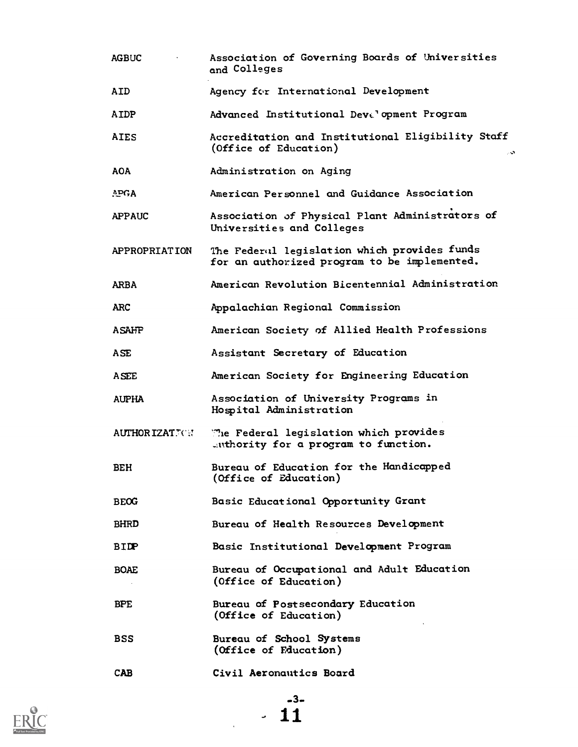AGBUC Association of Governing Boards of Universities and Colleges AID Agency for International Development AIDP Advanced Institutional Devt' opment Program AIDS Accreditation and Institutional Eligibility Staff (Office of Education) AOA **APGA** APPAUC Administration on Aging American Personnel and Guidance Association Association of Physical Plant Administrators of Universities and Colleges APPROPRIATION The Federul legislation which provides funds for an authorized program to be implemented. ARBA American Revolution Bicentennial Administration ARC Appalachian Regional Commission ASAHP **American Society of Allied Health Professions** ASE Assistant Secretary of Education ASEE American Society for Engineering Education AUPHA Association of University Programs in Hospital Administration AUTHORIZATJOR Me Federal legislation which provides ..mthority for a program to function. BEH Bureau of Education for the Handicapped (Office of Education) BEOG Basic Educational Opportunity Grant BHRD Bureau of Health Resources Development BIDP Basic Institutional Development Program BOAE Bureau of Occupational and Adult Education (Office of Education) BPE Bureau of Postsecondary Education (Office of Education) BSS Bureau of School Systems (Office of Education) CAB Civil Aeronautics Board

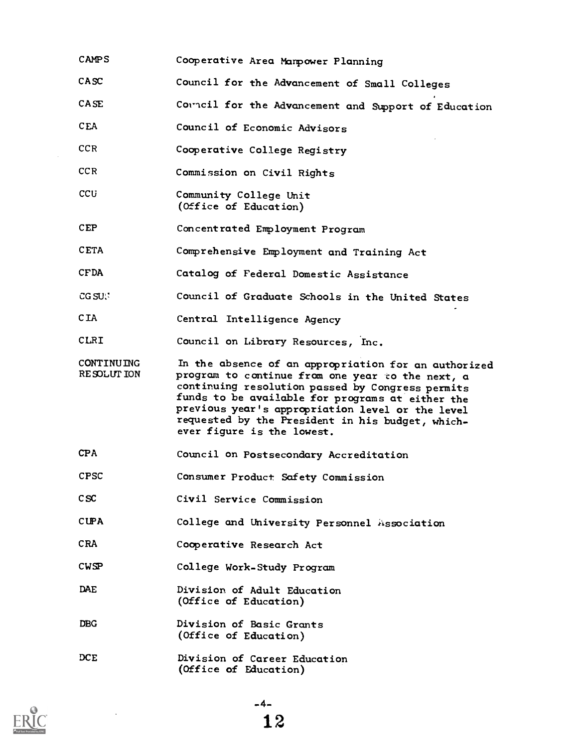| <b>CAMPS</b>                    | Cooperative Area Mampower Planning                                                                                                                                                                                                                                                                                                                     |
|---------------------------------|--------------------------------------------------------------------------------------------------------------------------------------------------------------------------------------------------------------------------------------------------------------------------------------------------------------------------------------------------------|
| CASC                            | Council for the Advancement of Small Colleges                                                                                                                                                                                                                                                                                                          |
| <b>CASE</b>                     | Council for the Advancement and Support of Education                                                                                                                                                                                                                                                                                                   |
| <b>CEA</b>                      | Council of Economic Advisors                                                                                                                                                                                                                                                                                                                           |
| CCR                             | Cooperative College Registry                                                                                                                                                                                                                                                                                                                           |
| CCR.                            | Commission on Civil Rights                                                                                                                                                                                                                                                                                                                             |
| CCU                             | Community College Unit<br>(Office of Education)                                                                                                                                                                                                                                                                                                        |
| CEP                             | Concentrated Employment Program                                                                                                                                                                                                                                                                                                                        |
| <b>CETA</b>                     | Comprehensive Employment and Training Act                                                                                                                                                                                                                                                                                                              |
| <b>CFDA</b>                     | Catalog of Federal Domestic Assistance                                                                                                                                                                                                                                                                                                                 |
| $CG$ $SU$ .                     | Council of Graduate Schools in the United States                                                                                                                                                                                                                                                                                                       |
| CIA                             | Central Intelligence Agency                                                                                                                                                                                                                                                                                                                            |
| CLRI                            | Council on Library Resources, Inc.                                                                                                                                                                                                                                                                                                                     |
| <b>CONTINUING</b><br>RESOLUTION | In the absence of an appropriation for an authorized<br>program to continue from one year to the next, a<br>continuing resolution passed by Congress permits<br>funds to be available for programs at either the<br>previous year's appropriation level or the level<br>requested by the President in his budget, which-<br>ever figure is the lowest. |
| CPA                             | Council on Postsecondary Accreditation                                                                                                                                                                                                                                                                                                                 |
| <b>CPSC</b>                     | Consumer Product Safety Commission                                                                                                                                                                                                                                                                                                                     |
| csc                             | Civil Service Commission                                                                                                                                                                                                                                                                                                                               |
| <b>CUPA</b>                     | College and University Personnel Association                                                                                                                                                                                                                                                                                                           |
| CRA.                            | Cooperative Research Act                                                                                                                                                                                                                                                                                                                               |
| <b>CWSP</b>                     | College Work-Study Program                                                                                                                                                                                                                                                                                                                             |
| DAE                             | Division of Adult Education<br>(Office of Education)                                                                                                                                                                                                                                                                                                   |
| DBG.                            | Division of Basic Grants<br>(Office of Education)                                                                                                                                                                                                                                                                                                      |
| DCE                             | Division of Career Education<br>(Office of Education)                                                                                                                                                                                                                                                                                                  |



 $\ddot{\phantom{0}}$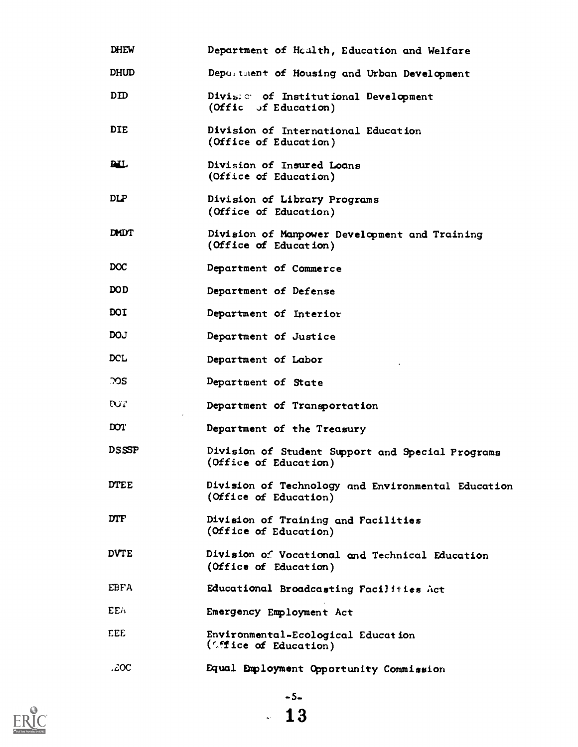| <b>DHEW</b>      | Department of Health, Education and Welfare                                 |
|------------------|-----------------------------------------------------------------------------|
| DHUD             | Depurtment of Housing and Urban Development                                 |
| DID.             | Divis: of Institutional Development<br>(Offic of Education)                 |
| <b>DIE</b>       | Division of International Education<br>(Office of Education)                |
| <b>DIL</b>       | Division of Insured Loans<br>(Office of Education)                          |
| $_{\rm DLP}$     | Division of Library Programs<br>(Office of Education)                       |
| <b>DMDT</b>      | Division of Manpower Development and Training<br>(Office of Education)      |
| <b>DOC</b>       | Department of Commerce                                                      |
| <b>DOD</b>       | Department of Defense                                                       |
| DOI              | Department of Interior                                                      |
| <b>DOJ</b>       | Department of Justice                                                       |
| DCL              | Department of Labor                                                         |
| ာာဒ              | Department of State                                                         |
| <b>NT</b>        | Department of Transportation                                                |
| DOT <sup>1</sup> | Department of the Treasury                                                  |
| <b>DSSSP</b>     | Division of Student Support and Special Programs<br>(Office of Education)   |
| <b>DTEE</b>      | Division of Technology and Environmental Education<br>(Office of Education) |
| <b>DTF</b>       | Division of Training and Facilities<br>(Office of Education)                |
| <b>DVTE</b>      | Division of Vocational and Technical Education<br>(Office of Education)     |
| EBFA             | Educational Broadcasting Facilities Act                                     |
| EEA              | Emergency Employment Act                                                    |
| EEE              | Environmental-Ecological Education<br>(Office of Education)                 |
| .coc             | Equal Employment Opportunity Commission                                     |



-5-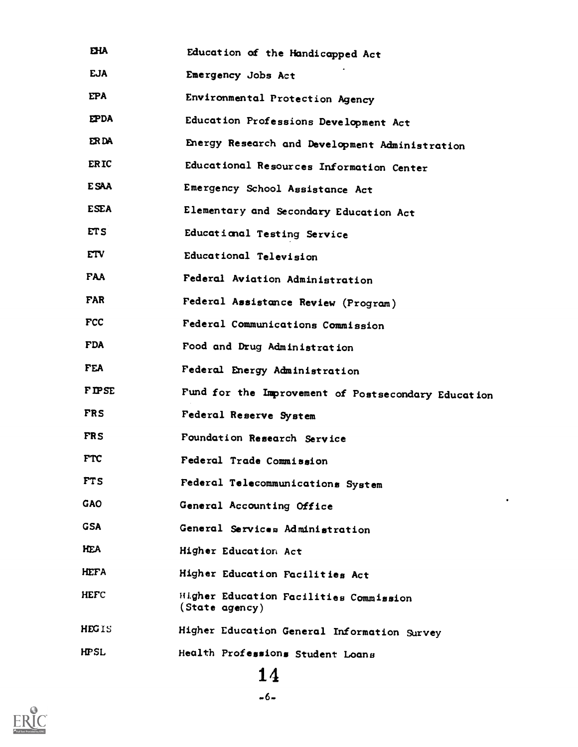| EHA          | Education of the Handicapped Act                         |
|--------------|----------------------------------------------------------|
| <b>EJA</b>   | Emergency Jobs Act                                       |
| <b>EPA</b>   | Environmental Protection Agency                          |
| <b>EPDA</b>  | Education Professions Development Act                    |
| ER DA        | Energy Research and Development Administration           |
| <b>ERIC</b>  | Educational Resources Information Center                 |
| <b>ESAA</b>  | Emergency School Assistance Act                          |
| <b>ESEA</b>  | Elementary and Secondary Education Act                   |
| ETS          | Educational Testing Service                              |
| <b>ETV</b>   | Educational Television                                   |
| <b>FAA</b>   | Federal Aviation Administration                          |
| <b>FAR</b>   | Federal Assistance Review (Program)                      |
| <b>FCC</b>   | Federal Communications Commission                        |
| <b>FDA</b>   | Food and Drug Administration                             |
| <b>FEA</b>   | Federal Energy Administration                            |
| <b>FIPSE</b> | Fund for the Improvement of Postsecondary Education      |
| <b>FRS</b>   | Federal Reserve System                                   |
| <b>FRS</b>   | Foundation Research Service                              |
| <b>FTC</b>   | Federal Trade Commission                                 |
| <b>FTS</b>   | Federal Telecommunications System                        |
| <b>GAO</b>   | ٠<br>General Accounting Office                           |
| <b>GSA</b>   | General Services Administration                          |
| <b>HEA</b>   | Higher Education Act                                     |
| <b>HEFA</b>  | Higher Education Facilities Act                          |
| HEFC         | Higher Education Facilities Commission<br>(State agency) |
| <b>HEGIS</b> | Higher Education General Information Survey              |
| HPSL         | Health Professions Student Loans                         |
|              |                                                          |

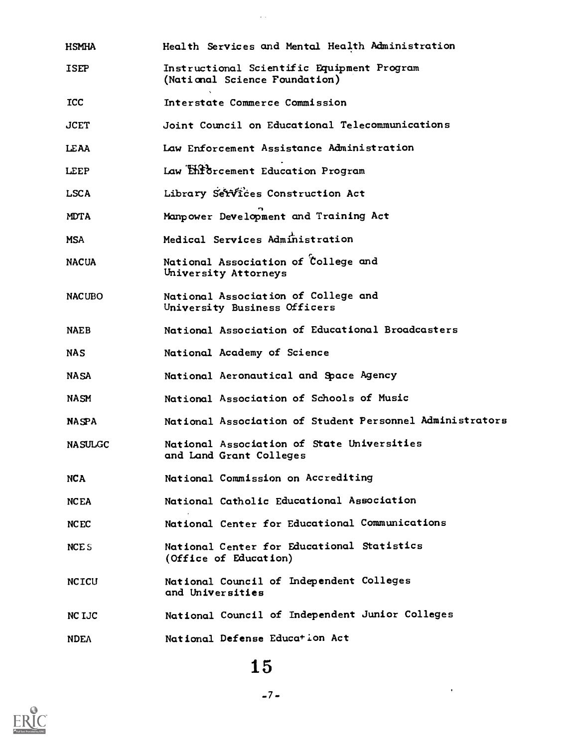| HSMHA            | Health Services and Mental Health Administration                            |
|------------------|-----------------------------------------------------------------------------|
| <b>ISEP</b>      | Instructional Scientific Equipment Program<br>(National Science Foundation) |
| <b>ICC</b>       | Interstate Commerce Commission                                              |
| <b>JCET</b>      | Joint Council on Educational Telecommunications                             |
| LEAA             | Law Enforcement Assistance Administration                                   |
| LEEP             | Law Enforcement Education Program                                           |
| <b>LSCA</b>      | Library Services Construction Act                                           |
| <b>MDTA</b>      | Manpower Development and Training Act                                       |
| <b>MSA</b>       | Medical Services Administration                                             |
| <b>NACUA</b>     | National Association of College and<br>University Attorneys                 |
| <b>NACUBO</b>    | National Association of College and<br>University Business Officers         |
| <b>NAEB</b>      | National Association of Educational Broadcasters                            |
| <b>NAS</b>       | National Academy of Science                                                 |
| <b>NASA</b>      | National Aeronautical and Space Agency                                      |
| NASM             | National Association of Schools of Music                                    |
| NASPA            | National Association of Student Personnel Administrators                    |
| <b>NASULGC</b>   | National Association of State Universities<br>and Land Grant Colleges       |
| NCA              | National Commission on Accrediting                                          |
| <b>NCEA</b>      | National Catholic Educational Association                                   |
| <b>NCEC</b>      | National Center for Educational Communications                              |
| NCE <sub>S</sub> | National Center for Educational Statistics<br>(Office of Education)         |
| <b>NCICU</b>     | National Council of Independent Colleges<br>and Universities                |
| NC LJC           | National Council of Independent Junior Colleges                             |
| <b>NDEA</b>      | National Defense Education Act                                              |

 $\frac{1}{2}$  ,  $\frac{1}{2}$ 

# 15



 $\mathbf{r}^{(1)}$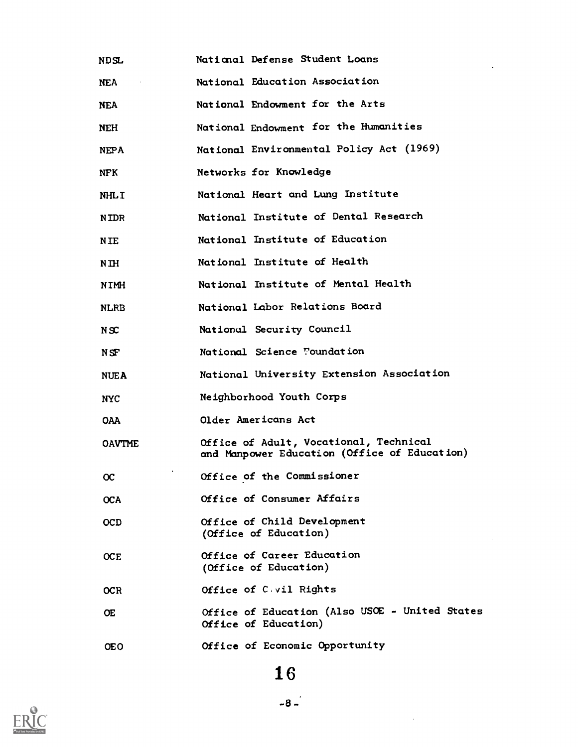| <b>NDSL</b>   | National Defense Student Loans                                                         |
|---------------|----------------------------------------------------------------------------------------|
| NEA.          | National Education Association                                                         |
| <b>NEA</b>    | National Endowment for the Arts                                                        |
| <b>NEH</b>    | National Endowment for the Humanities                                                  |
| <b>NEPA</b>   | National Environmental Policy Act (1969)                                               |
| <b>NFK</b>    | Networks for Knowledge                                                                 |
| <b>NHLI</b>   | National Heart and Lung Institute                                                      |
| <b>NIDR</b>   | National Institute of Dental Research                                                  |
| <b>NTE</b>    | National Institute of Education                                                        |
| N IH          | National Institute of Health                                                           |
| NIMH          | National Institute of Mental Health                                                    |
| <b>NLRB</b>   | National Labor Relations Board                                                         |
| N S C         | National Security Council                                                              |
| NSF           | National Science Foundation                                                            |
| <b>NUEA</b>   | National University Extension Association                                              |
| <b>NYC</b>    | Neighborhood Youth Corps                                                               |
| <b>OAA</b>    | Older Americans Act                                                                    |
| <b>OAVTME</b> | Office of Adult, Vocational, Technical<br>and Manpower Education (Office of Education) |
| Œ             | Office of the Commissioner                                                             |
| <b>OCA</b>    | Office of Consumer Affairs                                                             |
| <b>OCD</b>    | Office of Child Development<br>(Office of Education)                                   |
| <b>OCE</b>    | Office of Career Education<br>(Office of Education)                                    |
| <b>OCR</b>    | Office of C vil Rights                                                                 |
| Œ             | Office of Education (Also USOE - United States<br>Office of Education)                 |
| <b>OEO</b>    | Office of Economic Opportunity                                                         |

# 16



 $\sim 10^{11}$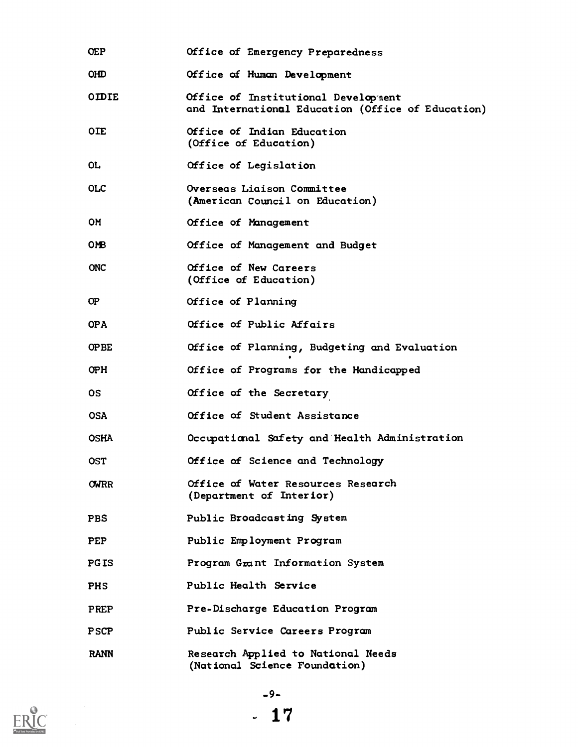| <b>OEP</b>   | Office of Emergency Preparedness                                                         |
|--------------|------------------------------------------------------------------------------------------|
| <b>OHD</b>   | Office of Human Development                                                              |
| <b>OIDIE</b> | Office of Institutional Development<br>and International Education (Office of Education) |
| <b>OIE</b>   | Office of Indian Education<br>(Office of Education)                                      |
| 0L           | Office of Legislation                                                                    |
| <b>OLC</b>   | Overseas Liaison Committee<br>(American Council on Education)                            |
| <b>OM</b>    | Office of Management                                                                     |
| OMB.         | Office of Management and Budget                                                          |
| <b>ONC</b>   | Office of New Careers<br>(Office of Education)                                           |
| Œ            | Office of Planning                                                                       |
| <b>OPA</b>   | Office of Public Affairs                                                                 |
| <b>OPBE</b>  | Office of Planning, Budgeting and Evaluation                                             |
| OPH.         | Office of Programs for the Handicapped                                                   |
| <b>OS</b>    | Office of the Secretary                                                                  |
| <b>OSA</b>   | Office of Student Assistance                                                             |
| <b>OSHA</b>  | Occupational Safety and Health Administration                                            |
| <b>OST</b>   | Office of Science and Technology                                                         |
| <b>OWRR</b>  | Office of Water Resources Research<br>(Department of Interior)                           |
| <b>PBS</b>   | Public Broadcasting System                                                               |
| <b>PEP</b>   | Public Employment Program                                                                |
| <b>PGIS</b>  | Program Grant Information System                                                         |
| <b>PHS</b>   | Public Health Service                                                                    |
| <b>PREP</b>  | Pre-Discharge Education Program                                                          |
| <b>PSCP</b>  | Public Service Careers Program                                                           |
| <b>RANN</b>  | <b>Research Applied to National Needs</b><br>(National Science Foundation)               |



 $\label{eq:2} \frac{1}{\sqrt{2}}\frac{1}{\sqrt{2}}\frac{d\theta}{d\theta}$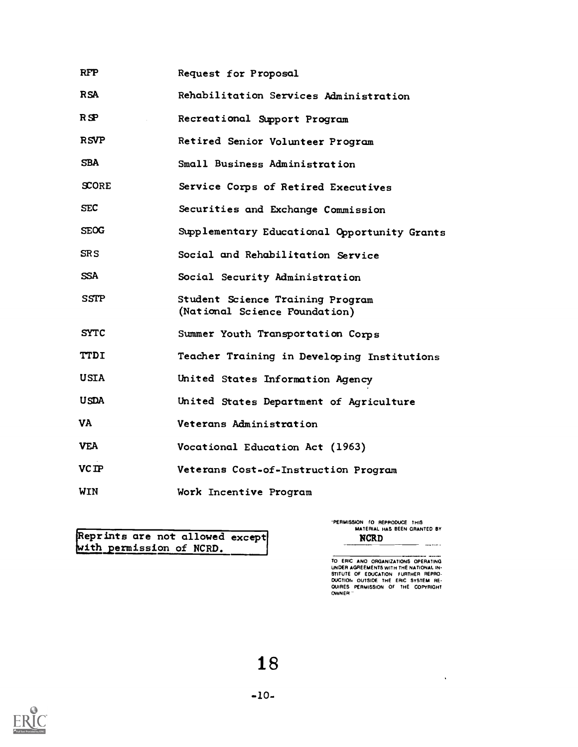| <b>RFP</b>   | Request for Proposal                                              |
|--------------|-------------------------------------------------------------------|
| <b>RSA</b>   | Rehabilitation Services Administration                            |
| R SP         | Recreational Support Program                                      |
| <b>RSVP</b>  | Retired Senior Volunteer Program                                  |
| <b>SBA</b>   | Small Business Administration                                     |
| <b>SCORE</b> | Service Corps of Retired Executives                               |
| <b>SEC</b>   | Securities and Exchange Commission                                |
| <b>SEOG</b>  | Supplementary Educational Opportunity Grants                      |
| SR S         | Social and Rehabilitation Service                                 |
| <b>SSA</b>   | Social Security Administration                                    |
| <b>SSTP</b>  | Student Science Training Program<br>(National Science Foundation) |
| <b>SYTC</b>  | Summer Youth Transportation Corps                                 |
| <b>TTDI</b>  | Teacher Training in Developing Institutions                       |
| <b>USIA</b>  | United States Information Agency                                  |
| <b>USDA</b>  | United States Department of Agriculture                           |
| VA           | Veterans Administration                                           |
| <b>VEA</b>   | Vocational Education Act (1963)                                   |
| <b>VC IP</b> | Veterans Cost-of-Instruction Program                              |
| WIN          | Work Incentive Program                                            |

with permission of NCRD. Reprints are not allowed except

PERMISSION f0 REPRODUCE THIS MATERIAL HAS BEEN GRANTED BY NCRD

TO ERIC ANO ORGANIZATIONS OPERATING<br>UNDER AGREEMENTS WITH THE NATIONAL IN-<br>STITUTE OF EDUCATION FURTHER REPRO.<br>DUCTION OUTSIDE THE ERIC SYSTEM RE-<br>QUIRES PERMISSION OF THE COPYRIGHT<br>OWNER "

 $\hat{\mathbf{v}}$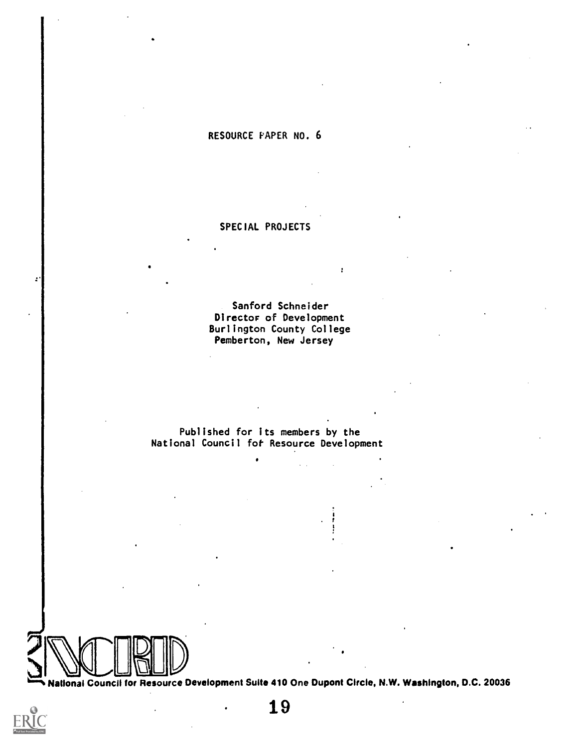## RESOURCE PAPER NO. 6

## SPECIAL PROJECTS

Sanford Schneider Director of Development Burlington County College Pemberton, New Jersey

Published for its members by the National Council fot Resource Development



zh an an

National Council tor Resource Development Suite 410 One Dupont Circle, N.W. Washington, D.C. 20036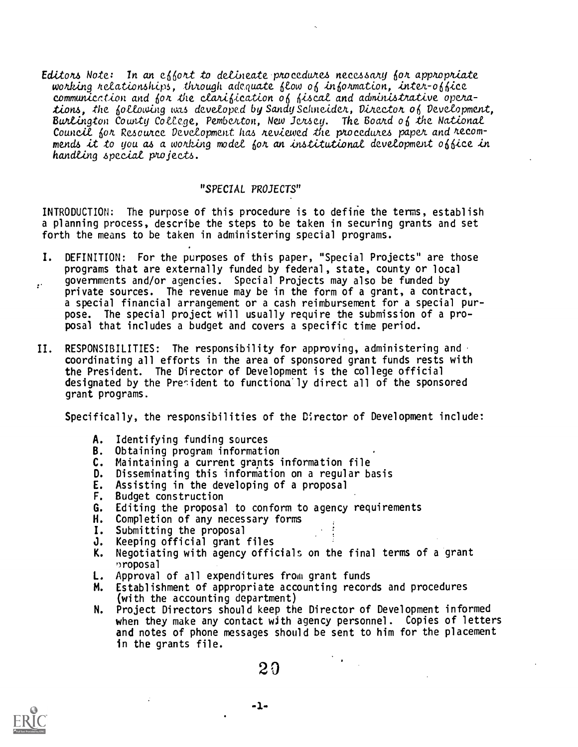Editors Note: In an effort to delineate procedures necessary for appropriate working relationships, through adequate flow of information, inter-office communication and for the clarification of fiscal and administrative operations, the following was developed by Sandy Schneider, Director of Development, Burlington County College, Pemberton, New Jersey. The Board of the National Council for Resource Development has reviewed the procedures paper and recommends it to you as a working model for an institutional development office in handling special projects.

## "SPEC/AL PROJECTS"

INTRODUCTION: The purpose of this procedure is to define the terms, establish a planning process, describe the steps to be taken in securing grants and set forth the means to be taken in administering special programs.

- I. DEFINITION: For the purposes of this paper, "Special Projects" are those programs that are externally funded by federal, state, county or local governments and/or agencies. Special Projects may also be funded by  $\cdot$ private sources. The revenue may be in the form of a grant, a contract, a special financial arrangement or a cash reimbursement for a special purpose. The special project will usually require the submission of a proposal that includes a budget and covers a specific time period.
- II. RESPONSIBILITIES: The responsibility for approving, administering and coordinating all efforts in the area of sponsored grant funds rests with the President. The Director of Development is the college official designated by the President to functionally direct all of the sponsored grant programs.

Specifically, the responsibilities of the Director of Development include:

- A. Identifying funding sources
- B. Obtaining program information
- C. Maintaining a current grants information file
- D. Disseminating this information on a regular basis
- E. Assisting in the developing of a proposal
- F. Budget construction
- G. Editing the proposal to conform to agency requirements
- H. Completion of any necessary forms
- I. Submitting the proposal
- **J.** Keeping official grant files<br>**K.** Negotiating with agency officia
- Negotiating with agency officials on the final terms of a grant ')roposal
- **L.** Approval of all expenditures from grant funds
- M. Establishment of appropriate accounting records and procedures (with the accounting department)
- N. Project Directors should keep the Director of Development informed when they make any contact with agency personnel. Copies of letters and notes of phone messages should be sent to him for the placement in the grants file.

 $2\, 0$ 

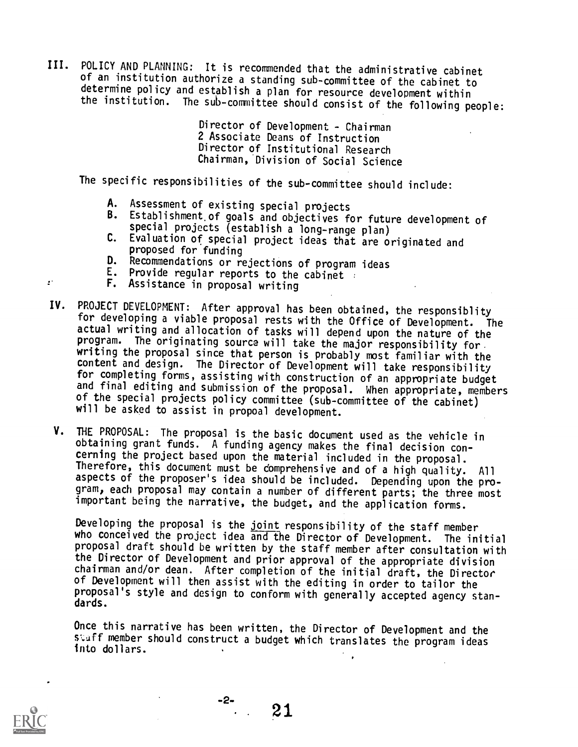III. POLICY AND PLANNING: It is recommended that the administrative cabinet of an institution authorize a standing sub-committee of the cabinet to determine policy and establish a plan for resource development within the institution. The sub-committee should consist of the following people:

> Director of Development - Chairman 2 Associate Deans of Instruction Director of Institutional Research Chairman, Division of Social Science

The specific responsibilities of the sub-committee should include:

- A. Assessment of existing special projects
- B. Establishment.of goals and objectives for future development of special projects (establish a long-range plan)
- C. Evaluation of special project ideas that are originated and proposed for funding
- D. Recommendations or rejections of program ideas
- E. Provide regular reports to the cabinet :
- F. Assistance in proposal writing
- IV. PROJECT DEVELOPMENT: After approval has been obtained, the responsiblity for developing a viable proposal rests with the Office of Development. The actual writing and allocation of tasks will depend upon the nature of the program. The originating source will take the major responsibility for. writing the proposal since that person is probably most familiar with the content and design. The Director of Development will take responsibility for completing forms, assisting with construction of an appropriate budget and final editing and submission of the proposal. When appropriate, members of the special projects policy committee (sub-committee of the cabinet) will be asked to assist in propoal development.
- V. THE PROPOSAL: The proposal is the basic document used as the vehicle in cerning the project based upon the material included in the proposal. Therefore, this document must be comprehensive and of a high quality. All aspects of the proposer's idea should be included. Depending upon the program, each proposal may contain a number of different parts; the three most important being the narrative, the budget, and the application forms.

Developing the proposal is the joint responsibility of the staff member who conceived the project idea and the Director of Development. The initial proposal draft should be written by the staff member after consultation with the Director of Development and prior approval of the appropriate division chairman and/or dean. After completion of the initial draft, the Director of Development will then assist with the editing in order to tailor the proposal's style and design to conform with generally accepted agency standards.

Once this narrative has been written, the Director of Development and the staff member should construct a budget which translates the program ideas into dollars.



 $\mathbf{r}^*$ 

. 21

-2-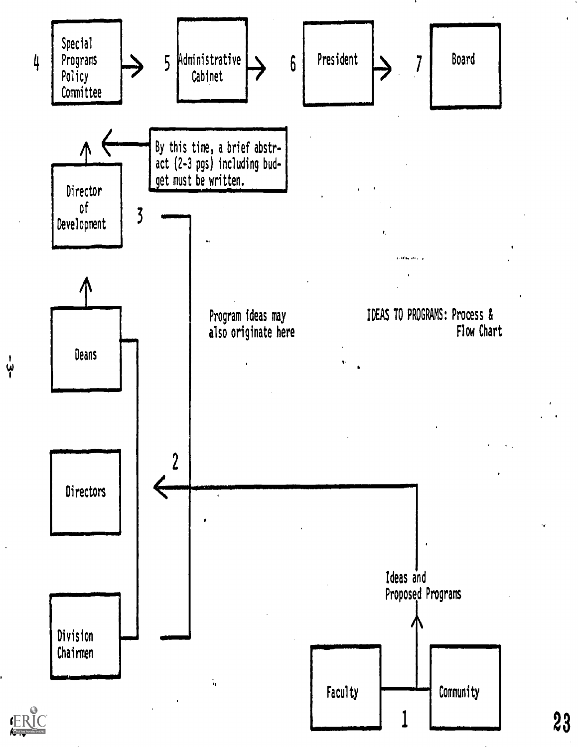

ا<br>يا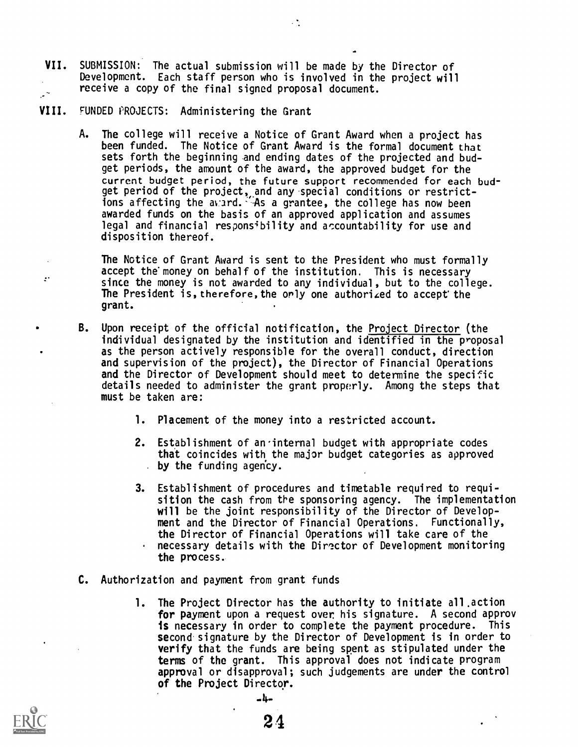- VII. SUBMISSION: The actual submission will be made by the Director of Development. Each staff person who is involved in the project will receive a copy of the final signed proposal document. البراز
- VIII. FUNDED PROJECTS: Administering the Grant
	- A. The college will receive a Notice of Grant Award when a project has been funded. The Notice of Grant Award is the formal document that sets forth the beginning and ending dates of the projected and budget periods, the amount of the award, the approved budget for the current budget period, the future support recommended for each budget period of the project,,and any 'special conditions or restrictions affecting the avard. As a grantee, the college has now been awarded funds on the basis of an approved application and assumes legal and financial responsibility and accountability for use and disposition thereof.

 $\cdot$  .

The Notice of Grant Award is sent to the President who must formally accept the money on behalf of the institution. This is necessary since the money is not awarded to any individual, but to the college. The President is, therefore, the orly one authorized to accept the grant.

- B. Upon receipt of the official notification, the Project Director (the individual designated by the institution and identified in the proposal as the person actively responsible for the overall conduct, direction and supervision of the project), the Director of Financial Operations and the Director of Development should meet to determine the specific details needed to administer the grant properly. Among the steps that must be taken are:
	- 1. Placement of the money into a restricted account.
	- 2. Establishment of an'internal budget with appropriate codes that coincides with the major budget categories as approved  $\bullet$  by the funding agency.
	- 3. Establishment of procedures and timetable required to requisition the cash from the sponsoring agency. The implementation will be the joint responsibility of the Director of Development and the Director of Financial Operations. Functionally, the Director of Financial Operations will take care of the necessary details with the Director of Development monitoring the process.
- C. Authorization and payment from grant funds
	- 1. The Project Director has the authority to initiate all.action for payment upon a request over his signature. A second approv is necessary in order to complete the payment procedure. This second signature by the Director of Development is in order to verify that the funds are being spent as stipulated under the terms of the grant. This approval does not indicate program approval or disapproval; such judgements are under the control of the Project Director.



 $\mathbf{r}$ 

-4-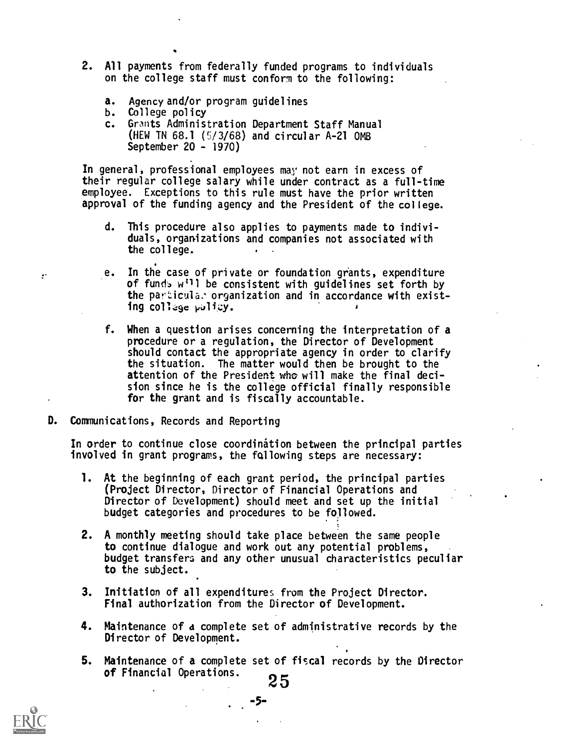- 2. All payments from federally funded programs to individuals on the college staff must conform to the following:
	- a. Agency and/or program guidelines
	- b. College policy
	- c. Grants Administration Department Staff Manual (NEW TN 68.1 (5/3/68) and circular A-21 OMB September 20 - 1970)

In general, professional employees may not earn in excess of their regular college salary while under contract as a full-time employee. Exceptions to this rule must have the prior written approval of the funding agency and the President of the college.

- d. This procedure also applies to payments made to individuals, organizations and companies not associated with the college.
- e. In the case of private or foundation grants, expenditure of fund. w<sup>11</sup> be consistent with guidelines set forth by the particula. organization and in accordance with existing college pulicy.
- f. When a question arises concerning the interpretation of a procedure or a regulation, the Director of Development should contact the appropriate agency in order to clarify the situation. The matter would then be brought to the attention of the President who will make the final decision since he is the college official finally responsible for the grant and is fiscally accountable.
- D. Communications, Records and Reporting

In order to continue close coordination between the principal parties involved in grant programs, the following steps are necessary:

- 1. At the beginning of each grant period, the principal parties (Project Director, Director of Financial Operations and Director of Development) should meet and set up the initial budget categories and procedures to be followed.
- 2. A monthly meeting should take place between the same people to continue dialogue and work out any potential problems, budget transfers and any other unusual characteristics peculiar to the subject.
- 3. Initiation of all expenditures from the Project Director. Final authorization from the Director of Development.
- 4. Maintenance of d complete set of administrative records by the Director of Development.
- 5. Maintenance of a complete set of fiscal records by the Director of Financial Operations.<br>25



 $\mathbf{r}^*$ 

-5-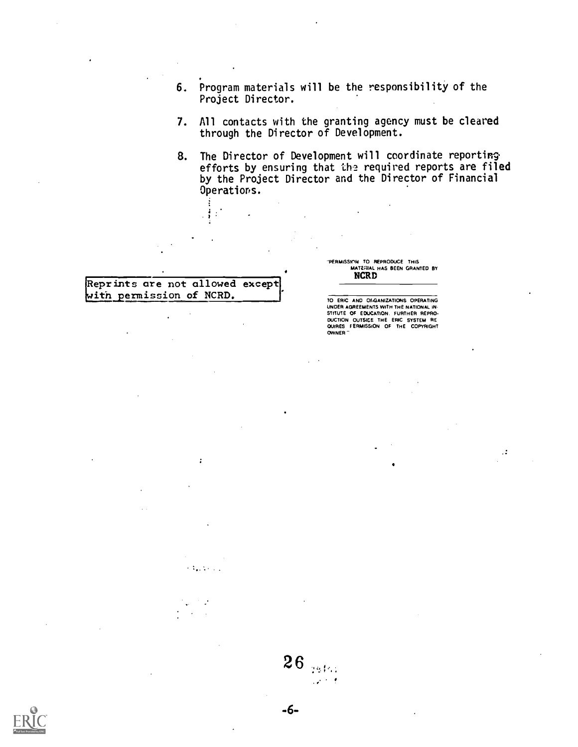- 6. Program materials will be the responsibility of the Project Director.
- 7. All contacts with the granting agency must be cleared through the Director of Development.
- 8. The Director of Development will coordinate reporting efforts by ensuring that the required reports are filed by the Project Director and the Director of Financial Operations.

## Reprints are not allowed except with permission of NCRD.

 $\mathbf{r}$ 

 $\{A_{\alpha},A_{\beta}\}_{\alpha\in\mathbb{Z}}$ 

J.

 $\mathbb{R}^3$ 

"PERMISSWIN TO REPRODUCE THIS MATERIAL HAS BEEN GRANTED BY **NCRD** 

TO ERIC AND OFGANIZATIONS OPERATING UNDER AGREEMENTS WITH THE NATIONAL IN- STITUTE OF EDUCATION. FURTHER REPRO-<br>DUCTION OUTSIDE THE ERIC SYSTEM RE<br>QUIRES FERMISSION OF THE COPYRIGHT OWNER

 $\sim$ 



 $26$ 

 $\mathcal{L}$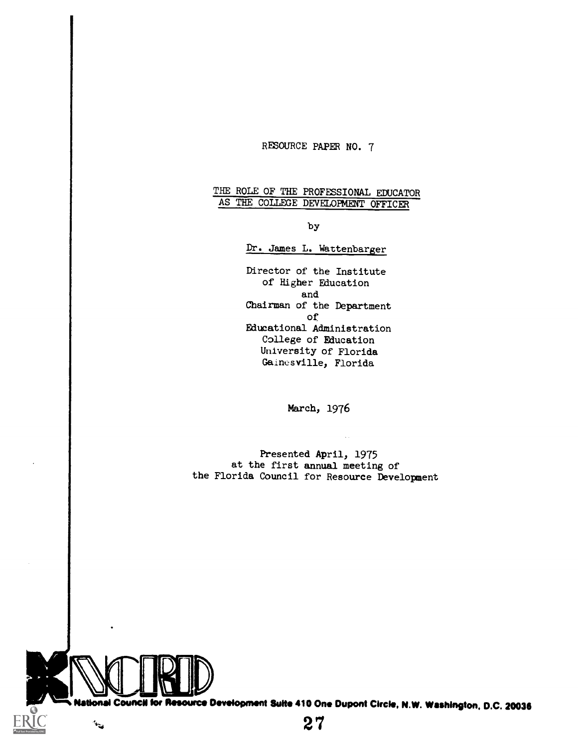## RESOURCE PAPER NO. 7

## THE ROLE OF THE PROFESSIONAL EDUCATOR AS THE COLLEGE DEVELOPMENT OFFICER

#### by

## Dr. James L. Wattenbarger

Director of the Institute of Higher Education and Chairman of the Department of Educational Administration College of Education University of Florida Gainesville, Florida

March, 1976

Presented April, 1975 at the first annual meeting of the Florida Council for Resource Development



 $\mathbf{v}_{\mathrm{in}}$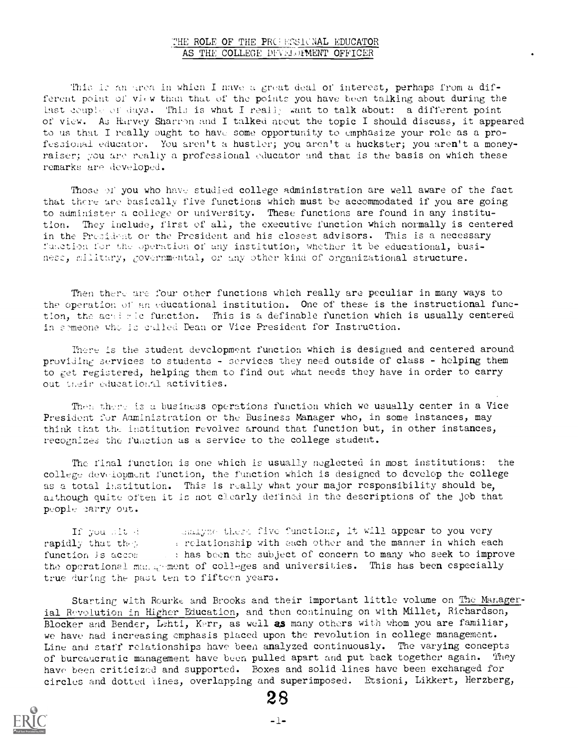## THE ROLE OF THE PROPESSICNAL EDUCATOR AS THE COLLEGE DFVELOFMENT OFFICER

This is an grea in which I nave a great deal of interest, perhaps from a different point of view than that of the points you have been talking about during the hast ceuple of days. This is what I really want to talk about: a different point of view. As Harvey Sharron and I talked about the topic I should discuss, it appeared to us that I really ought to have some opportunity to emphasize your role as a professional educator. You aren't a hustler; you aren't a huckster; you aren't a moneyraiser; you are really a professional educator and that is the basis on which these remarks are developed.

Those of you who have studied college administration are well aware of the fact that thcre are basically five functions which must be accommodated if you are going to administer a college or university. These functions are found in any institution. They include, first of all, the executive function which normally is centered in the President or the President and his closest advisors. This is a necessary function for the operation of any institution, whether it be educational, business, military, governmental, or any other kind of organizational structure.

Then there are four other functions which really are peculiar in many ways to the operation ol' an educational institution. One of these is the instructional function, the activic function. This is a definable function which is usually centered in symeone who is called Dean or Vice President for Instruction.

There is the student development function which is designed and centered around providing services to students - services they need outside of class - helping them to get registered, helping them to find out what needs they have in order to carry out their educational activities.

Then there is a business operations function which we usually center in a Vice President for Administration or the Business Manager who, in some instances, may think that the institution revolves around that function but, in other instances, recognizes the function as a service to the college student.

The final function is one which is usually neglected in most institutions: the college development function, the function which is designed to develop the college as a total institution. This is really what your major responsibility should be, although quite often it is not clearly defined in the descriptions of the job that people carry out.

If you sit described rapidly that they function is accomfinalyze these five functions, it will appear to you very relationship with each other and the manner in which each ! has becn the subject of concern to many who seek to improve the operational mang-ment of colleges and universities. This has been especially true during the past ten to fifteen years.

Starting with Rourke and Brooks and their important little volume on The Managerial Revolution in Higher Education, and then continuing on with Millet, Richardson, Blocker and Bender, Lehti, Kerr, as well as many others with whom you are familiar, we have had increasing emphasis placed upon the revolution in college management. Line and staff relationships have been analyzed continuously. The varying concepts of bureaucratic management have been pulled apart and put back together again. They have been criticized and supported. Boxes and solid-lines have been exchanged for circles and dotted lines, overlapping and superimposed. Etsioni, Likkert, Herzberg,

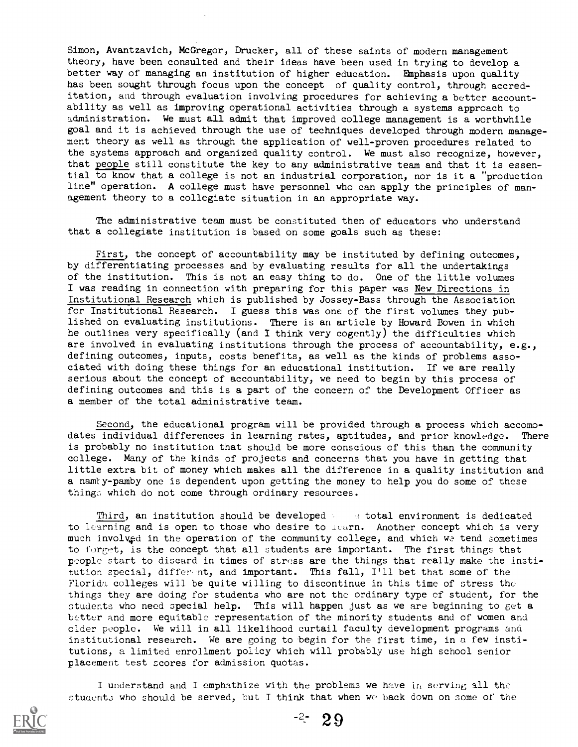Simon, Avantzavich, McGregor, Drucker, all of these saints of modern management theory, have been consulted and their ideas have been used in trying to develop a better way of managing an institution of higher education. Emphasis upon quality has been sought through focus upon the concept of quality control, through accreditation, and through evaluation involving procedures for achieving a better accountability as well as improving operational activities through a systems approach to administration. We must all admit that improved college management is a worthwhile goal and it is achieved through the use of techniques developed through modern management theory as well as through the application of well-proven procedures related to the systems approach and organized quality control. We must also recognize, however, that people still constitute the key to any administrative team and that it is essential to know that a college is not an industrial corporation, nor is it a "production line" operation. A college must have personnel who can apply the principles of management theory to a collegiate situation in an appropriate way.

The administrative team must be constituted then of educators who understand that a collegiate institution is based on some goals such as these:

First, the concept of accountability may be instituted by defining outcomes, by differentiating processes and by evaluating results for all the undertakings of the institution. This is not an easy thing to do. One of the little volumes I was reading in connection with preparing for this paper was New Directions in Institutional Research which is published by Jossey-Bass through the Association for Institutional Research. I guess this was one of the first volumes they published on evaluating institutions. There is an article by Howard Bowen in which he outlines very specifically (and I think very cogently) the difficulties which are involved in evaluating institutions through the process of accountability, e.g., defining outcomes, inputs, costs benefits, as well as the kinds of problems associated with doing these things for an educational institution. If we are really serious about the concept of accountability, we need to begin by this process of defining outcomes and this is a part of the concern of the Development Officer as a member of the total administrative team.

Second, the educational program will be provided through a process which accomodates individual differences in learning rates, aptitudes, and prior knowledge. There is probably no institution that should be more conscious of this than the community college. Many of the kinds of projects and concerns that you have in getting that little extra bit of money which makes all the difference in a quality institution and a namty-pamby one is dependent upon getting the money to help you do some of these things which do not come through ordinary resources.

Third, an institution should be developed to the total environment is dedicated to learning and is open to those who desire to learn. Another concept which is very much involved in the operation of the community college, and which we tend sometimes to forget, is the concept that all students are important. The first things that people start to discard in times of stress are the things that really make the institution special, differ-nt, and important. This fall, I'll bet that some of the Florida colleges will be quite willing to discontinue in this time of stress the things they are doing for students who are not the ordinary type cf student, for the students who need special help. This will happen just as we are beginning to get a better and more equitable representation of the minority students and of women and older people. We will in all likelihood curtail faculty development programs and institutional research. We are going to begin for the first time, in a few institutions, a limited enrollment policy which will probably use high school senior placement test scores for admission quotas.

I understand and I emphathize with the problems we have in serving all the students who should be served, but I think that when we back down on some of the



 $-2 - 29$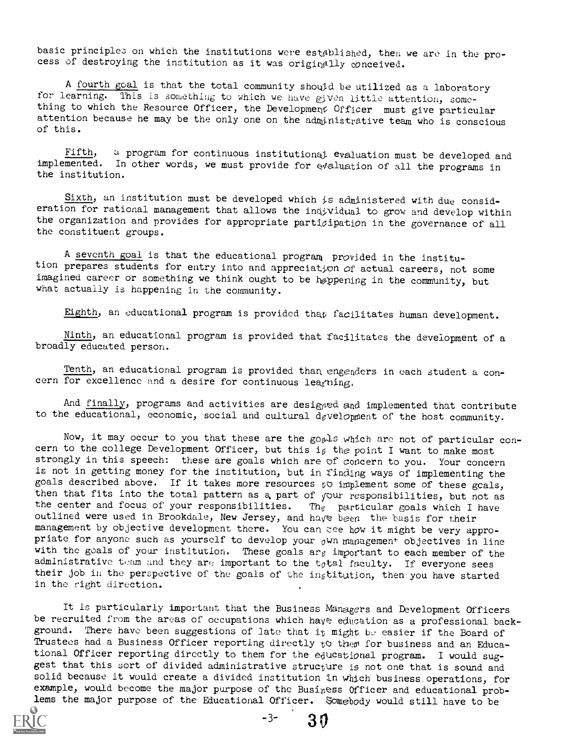basic principles on which the institutions were established, then we are in the process of destroying the institution as it was originally conceived.

A fourth goal is that the total community should be utilized as a laboratory for learning. This is something to which we have given little attention, something to which the Resource Officer, the Development Officer must give particular attention because he may be the only one on the administrative team who is conscious of this.

Fifth, a program for continuous institutional evaluation must be developed and implemented. In other words, we must provide for evaluation of all the programs in the institution.

Sixth, an institution must be developed which  $i\epsilon$  administered with due consideration for rational management that allows the individual to grow and develop within the organization and provides for appropriate participation in the governance of all the constituent groups.

A seventh goal is that the educational program provided in the institution prepares students for entry into and appreciation of actual careers, not some imagined career or something we think ought to be høppening in the community, but what actually is happening in the community.

Eighth, an educational program is provided that facilitates human development.

Ninth, an educational program is provided that facilitates the development of a broadly educated person.

Tenth, an educational program is provided than engenders in each student a concern for excellence and a desire for continuous leaguing.

And finally, programs and activities are designed and implemented that contribute to the educational, economic, social and cultural development of the host community.

Now, it may occur to you that these are the goods which are not of particular concern to the college Development Officer, but this is the point I want to make most strongly in this speech: these are goals which are of concern to you. Your concern is not in getting money for the institution, but in finding ways of implementing the goals described above. If it takes more resources  $t \circ$  implement some of these gcals, then that fits into the total pattern as a part of  $\sqrt{2}$  responsibilities, but not as the center and focus of your responsibilities. The particular goals which I have outlined were used in Brookdale, New Jersey, and have been the basis for their management by objective development there. You can zee how it might be very appropriate for anyone such as yourself to develop your  $_0$ Wn management objectives in line with the goals of your institution. These goals are important to each member of the administrative team and they are important to the  $t_0$ tal faculty. If everyone sees their job in the perspective of the goals of the in $s$ titution, then you have started in the right direction.

It is particularly important that the Business Managers and Development Officers be recruited from the areas of occupations which have education as a professional background. There have been suggestions of late that it might be easier if the Board of Trustees had a Business Officer reporting directly  $t \circ t$  them for business and an Educational Officer reporting directly to them for the educational program. I would suggest that this sort of divided administrative structure is not one that is sound and solid because it would create a divided institution in which business.operations, for example, would become the major purpose of the Business Officer and educational problems the major purpose of the Educational Officer. Somebody would still have to be



 $-3-30$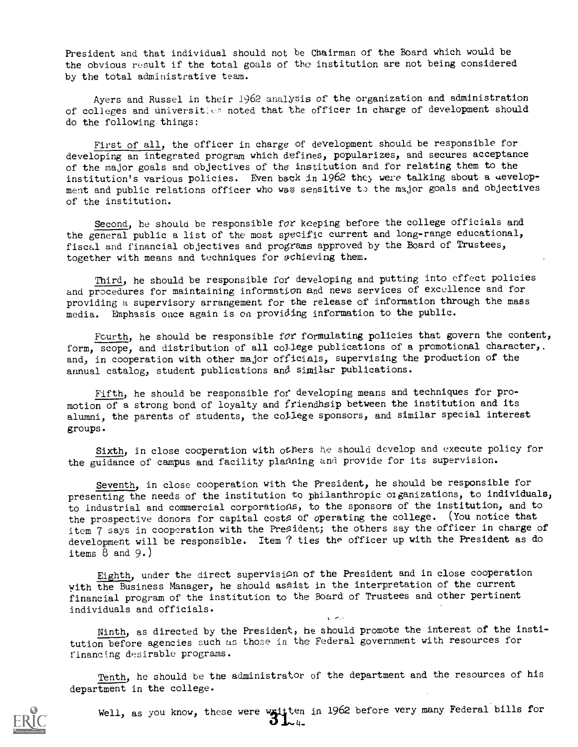President and that individual should not be Chairman of the Board which would be the obvious result if the total goals of the institution are not being considered by the total administrative team.

Ayers and Russel in their 1962 analysis of the organization and administration of colleges and universities noted that the officer in charge of development should do the following things:

First of all, the officer in charge of development should be responsible for developing an integrated program which defines, popularizes, and secures acceptance of the major goals and objectives of the institution and for relating them to the institution's various policies. Even back in 1962 they were talking about a uevelopment and public relations officer who was sensitive to the major goals and objectives of the institution.

Second, he should be responsible for keeping before the college officials and the general public a list of the most specific current and long-range educational, fiscal and financial objectives and programs approved by the Board of Trustees, together with means and techniques for achieving them.

Third, he should be responsible fof developing and putting into effect policies and procedures for maintaining information and news services of excellence and for providing a supervisory arrangement for the release of information through the mass media. Emphasis once again is on providing information to the public.

Fourth, he should be responsible for formulating policies that govern the content, form, scope, and distribution of all college publications of a promotional character,. and, in cooperation with other major officials, supervising the production of the annual catalog, student publications and similar publications.

Fifth, he should be responsible for developing means and techniques for promotion of a strong bond of loyalty and friendhsip between the institution and its alumni, the parents of students, the college sponsors, and similar special interest groups.

Sixth, in close cooperation with others he should develop and execute policy for the guidance of campus and facility plaAning and provide for its supervision.

Seventh, in close cooperation with the President, he should be responsible for presenting the needs of the institution to philanthropic organizations, to individuals, to industrial and commercial corporatioas, to the sponsors of the institution, and to the prospective donors for capital costs of operating the college. (You notice that item 7 says in cooperation with the President; the others say the officer in charge of development will be responsible. Item  $\hat{\tau}$  ties the officer up with the President as do items  $8$  and  $9.$ )

Eighth, under the direct supervision of the President and in close cooperation with the Business Manager, he should asaist in the interpretation of the current financial program of the institution to the Board of Trustees and other pertinent individuals and officials. أوالعبرانية

Ninth, as directed by the President, he should promote the interest of the institution before agencies such as those in the Federal government with resources for financing desirable programs.

Tenth, he should be the administrator of the department and the resources of his department in the college.



Well, as you know, these were written in 1962 before very many Federal bills for  $\mathbf{3}_{24}$ .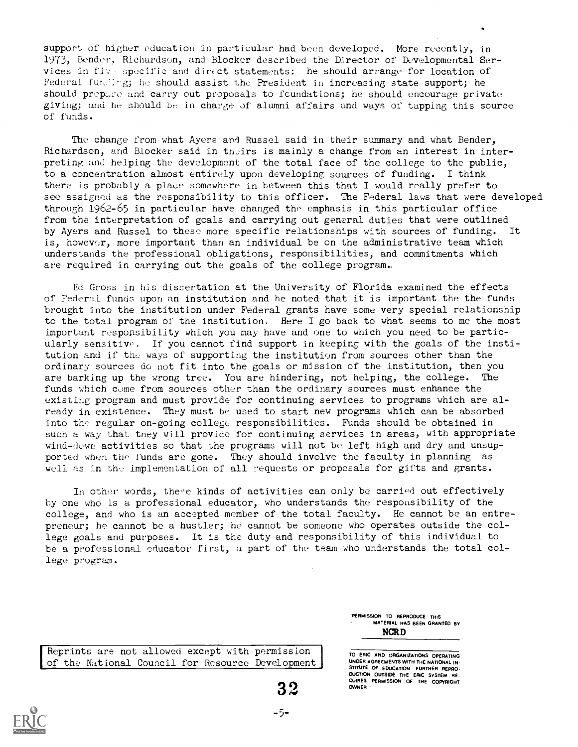support of higher education in particular had been developed. More recently, in 1973, Bender, Richardson, and Blocker described the Director of Developmental Services in five specific and direct statements: he should arrange for location of Federal funding; he should assist the President in increasing state support; he should prepare and carry out proposals to foundations; he should encourage private giving; and he should be in charge of alumni affairs and ways of tapping this source of funds.

The change from what Ayers and Russel said in their summary and what Bender, Richardson, and Blocker said in theirs is mainly a change from an interest in interpreting and helping the development of the total face of the college to the public, to a concentration almost entirely upon developing sources of funding. I think there is probably a place somewhere in between this that I would really prefer to see assigned as the responsibility to this officer. The Federal laws that were developed through 1962-65 in particular have changed the emphasis in this particular office from the interpretation of goals and carrying out general duties that were outlined by Ayers and Russel to these more specific relationships with sources of funding. It is, however, more important than an individual be on the administrative team which understands the professional obligations, responsibilities, and commitments which are required in carrying out the goals of the college program.

Ed Gross in his dissertation at the University of Florida examined the effects of Federal funds upon an institution and he noted that it is important the the funds brought into the institution under Federal grants have some very special relationship to the total program of the institution. Here I go back to what seems to me the most important responsibility which you may have and one to which you need to be particularly sensitive. If you cannot find support in keeping with the goals of the institution and if the ways of supporting the institution from sources other than the ordinary sources do not fit into the goals or mission of the institution, then you are barking up the wrong tree. You are hindering, not helping, the college. The funds which come from sources other than the ordinary sources must enhance the existing program and must provide for continuing services to programs which are already in existence. They must be used to start new programs which can be absorbed into the regular on-going college responsibilities. Funds should be obtained in such a way that tney will provide for continuing services in areas, with appropriate wind-down activities so that the programs will not be left high and dry and unsupported when the funds are gone. They should involve the faculty in planning as well as in the implementation of all requests or proposals for gifts and grants.

In other words, there kinds of activities can only be carried out effectively by one who is a professional educator, who understands the responsibility of the college, and who is an accepted member of the total faculty. He cannot be an entrepreneur; he cannot be a hustler; he cannot be someone who operates outside the college goals and purposes. It is the duty and responsibility of this individual to be a professional educator first, a part of the team who understands the total college program.

> "PERMISSION TO REPRODUCE THIS MATERIAL HAS BEEN GRANTED BY NCRD

Reprints are not allowed except with permission of the National Council for Resource Development\_

**EXAMPLE THE ERIC SYSTEM READERS PERMISSION OF THE COPYRIGHT**<br>3. OWNER "<br>2. OWNER " TO ERIC AND ORGANIZATIONS OPERATING UNDER AGREEMENTS WITH THE NATIONAL IN- STITUTE OF EDUCATION FURTHER REPRO. OWNER

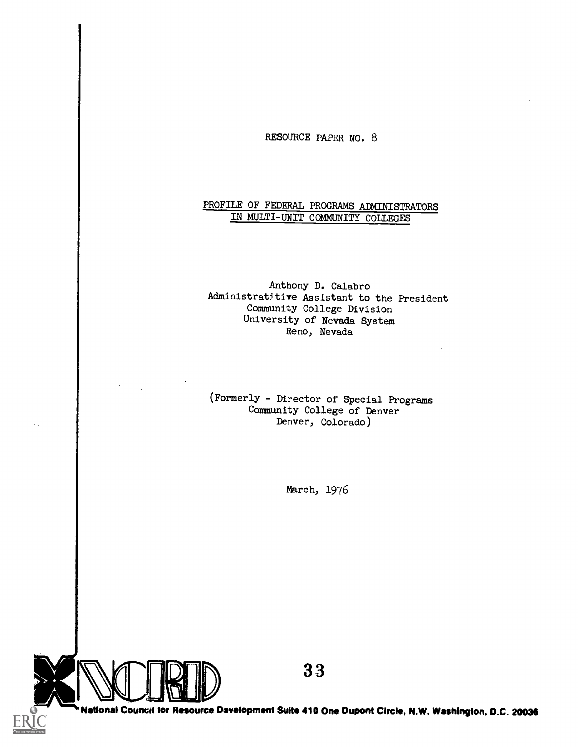RESOURCE PAPER NO. 8

## PROFILE OF FEDERAL PROGRAMS ADMINISTRATORS IN MULTI-UNIT COMMUNITY COLLEGES

Anthony D. Calabro Administratitive Assistant to the President Community College Division University of Nevada System Reno, Nevada

(Formerly - Director of Special Programs Community College of Denver Denver, Colorado)

March, 1976

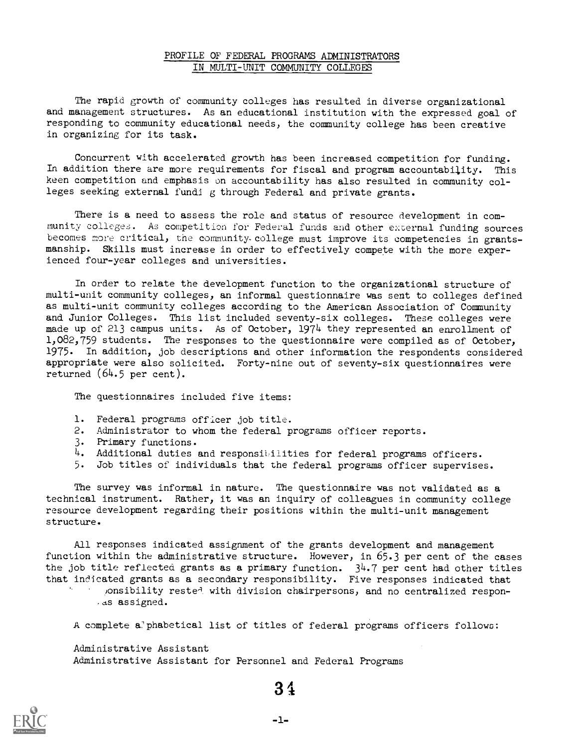#### PROFILE OF FEDERAL PROGRAMS ADMINISTRATORS IN MULTI-UNIT COMMUNITY COLLEGES

The rapid growth of community colleges has resulted in diverse organizational and management structures. As an educational institution with the expressed goal of responding to community educational needs, the community college has been creative in organizing for its task.

Concurrent with accelerated growth has been increased competition for funding. In addition there are more requirements for fiscal and program accountability. This keen competition and emphasis on accountability has also resulted in community colleges seeking external fundi g through Federal and private grants.

There is a need to assess the role and status of resource development in community colleges. As competition for Federal funds and other external funding sources becomes more critical, the community college must improve its competencies in grantsmanship. Skills must increase in order to effectively compete with the more experienced four-year colleges and universities.

In order to relate the development function to the organizational structure of multi-unit community colleges, an informal questionnaire was sent to colleges defined as multi-unit community colleges according to the American Association of Community and Junior Colleges. This list included seventy-six colleges. These colleges were made up of 213 campus units. As of October, 1974 they represented an enrollment of  $1,082,759$  students. The responses to the questionnaire were compiled as of October, 1975. In addition, job descriptions and other information the respondents considered appropriate were also solicited. Forty-nine out of seventy-six questionnaires were returned  $(64.5$  per cent).

The questionnaires included five items:

- 1. Federal programs officer job title.
- 2. Administrator to whom the federal programs officer reports.
- 3. Primary functions.
- 4. Additional duties and responsibilities for federal programs officers.
- 5. Job titles of individuals that the federal programs officer supervises.

The survey was informal in nature. The questionnaire was not validated as a technical instrument. Rather, it was an inquiry of colleagues in community college resource development regarding their positions within the multi-unit management structure.

All responses indicated assignment of the grants development and management function within the administrative structure. However, in 65.3 per cent of the cases the job title reflected grants as a primary function.  $34.7$  per cent had other titles that indicated grants as a secondary responsibility. Five responses indicated that ponsibility rested with division chairpersons, and no centralized respon- $.4s$  assigned.

A complete a' phabetical list of titles of federal programs officers follows:

Administrative Assistant Administrative Assistant for Personnel and Federal Programs

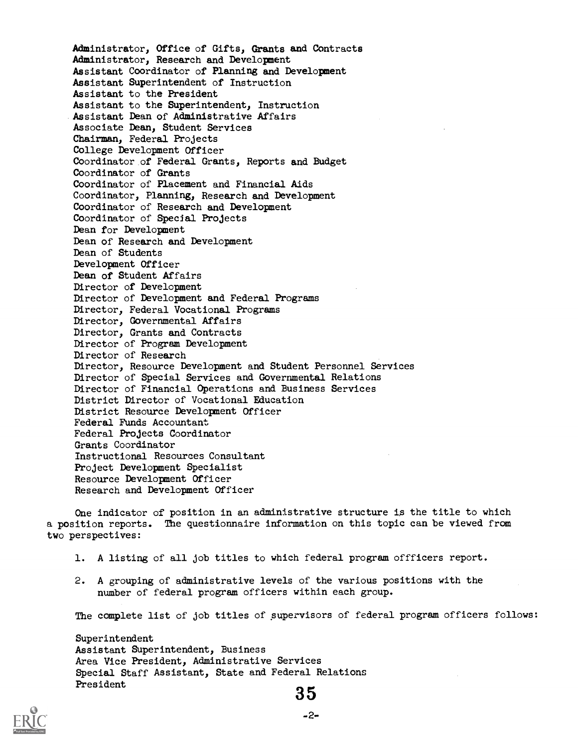Administrator, Office of Gifts, Grants and Contracts Administrator, Research and Development Assistant Coordinator of Planning and Development Assistant Superintendent of Instruction Assistant to the President Assistant to the Superintendent, Instruction Assistant Dean of Administrative Affairs Associate Dean, Student Services Chairman, Federal Projects College Development Officer Coordinator of Federal Grants, Reports and Budget Coordinator of Grants Coordinator of Placement and Financial Aids Coordinator, Planning, Research and Development Coordinator of Research and Development Coordinator of Special Projects Dean for Development Dean of Research and Development Dean of Students Development Officer Dean of Student Affairs Director of Development Director of Development and Federal Programs Director, Federal Vocational Programs Director, Governmental Affairs Director, Grants and Contracts Director of Program Development Director of Research Director, Resource Development and Student Personnel Services Director of Special Services and Governmental Relations Director of Financial Operations and Business Services District Director of Vocational Education District Resource Development Officer Federal Funds Accountant Federal Projects Coordinator Grants Coordinator Instructional Resources Consultant Project Development Specialist Resource Development Officer Research and Development Officer

One indicator of position in an administrative structure is the title to which a position reports. The questionnaire information on this topic can be viewed from two perspectives:

- 1. A listing of all job titles to which federal program offficers report.
- 2. A grouping of administrative levels of the various positions with the number of federal program officers within each group.

The complete list of job titles of supervisors of federal program officers follows:

Superintendent Assistant Superintendent, Business Area Vice President, Administrative Services Special Staff Assistant, State and Federal Relations  $\begin{matrix} \texttt{President} \end{matrix} \begin{matrix} \texttt{35} \end{matrix}$ 

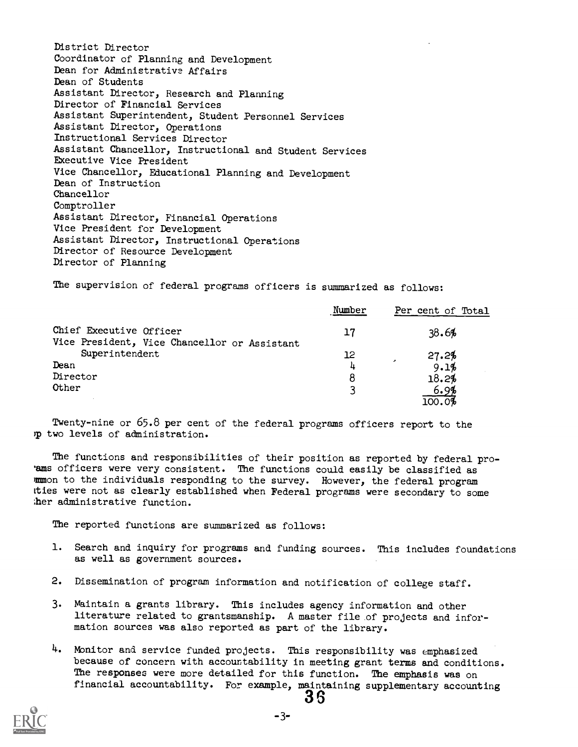District Director Coordinator of Planning and Development Dean for Administrative Affairs Dean of Students Assistant Director, Research and Planning Director of Financial Services Assistant Superintendent, Student Personnel Services Assistant Director, Operations Instructional Services Director Assistant Chancellor, Instructional and Student Services EXecutive Vice President Vice Chancellor, Educational Planning and Development Dean of Instruction Chancellor Comptroller Assistant Director, Financial Operations Vice President for Development Assistant Director, Instructional Operations Director of Resource Development Director of Planning

The supervision of federal programs officers is summarized as follows:

|                                                                         | Number | Per cent of Total                 |
|-------------------------------------------------------------------------|--------|-----------------------------------|
| Chief Executive Officer<br>Vice President, Vice Chancellor or Assistant | 17     | 38.6%                             |
| Superintendent                                                          | 12     | 27.2%<br>$\overline{\phantom{a}}$ |
| Dean                                                                    | 4      | 9.1%                              |
| Director                                                                | 8      | 18.2%                             |
| Other                                                                   |        | 6.9%                              |
|                                                                         |        |                                   |

TWenty-nine or 65.8 per cent of the federal programs officers report to the two levels of adninistration.

The functions and responsibilities of their position as reported by federal pro-'ams officers were very consistent. The functions could easily be classified as mmon to the individuals responding to the survey. However, the federal program ties were not as clearly established when Federal programs were secondary to some ;her administrative function.

The reported functions are summarized as follows:

- 1. Search and inquiry for programs and funding sources. This includes foundations as well as government sources.
- 2. Dissemination of program information and notification of college staff.
- 3. Maintain a grants library. This includes agency information and other literature related to grantsmanship. A master file of projects and information sources was also reported as part of the library.
- 4. Monitor and service funded projects. This responsibility was emphasized because of concern with accountability in meeting grant terms and conditions. The responses were more detailed for this function. The emphasis was on financial accountability. For example, maintaining supplementary accounting

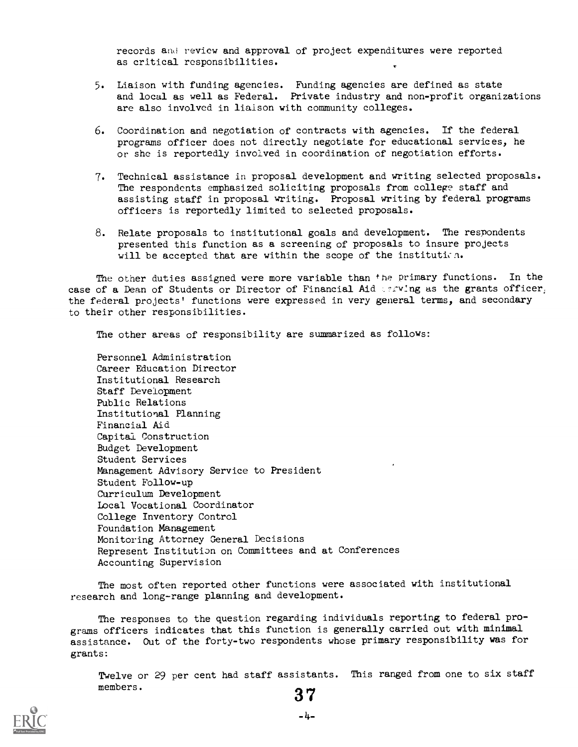records and review and approval of project expenditures were reported as critical responsibilities.

- 5. Liaison with funding agencies. Funding agencies are defined as state and local as well as Federal. Private industry and non-profit organizations are also involved in liaison with community colleges.
- 6. Coordination and negotiation of contracts with agencies. If the federal programs officer does not directly negotiate for educational services) he or she is reportedly involved in coordination of negotiation efforts.
- 7. Technical assistance in proposal development and writing selected proposals. The respondents emphasized soliciting proposals from college staff and assisting staff in proposal writing. Proposal writing by federal programs officers is reportedly limited to selected proposals.
- 8. Relate proposals to institutional goals and development. The respondents presented this function as a screening of proposals to insure projects will be accepted that are within the scope of the institution.

The other duties assigned were more variable than the primary functions. In the case of a Dean of Students or Director of Financial Aid 102VIng as the grants officer, the federal projects' functions were expressed in very general terms, and secondary to their other responsibilities.

The other areas of responsibility are summarized as follows:

Personnel Administration Career Education Director Institutional Research Staff Development Public Relations Institutional Planning Financial Aid Capital Construction Budget Development Student Services Management Advisory Service to President Student Follow-up Curriculum Development Local Vocational Coordinator College Inventory Control Foundation Management Monitoring Attorney General Decisions Represent Institution on Committees and at Conferences Accounting Supervision

The most often reported other functions were associated with institutional research and long-range planning and development.

The responses to the question regarding individuals reporting to federal programs officers indicates that this function is generally carried out with minimal assistance. Out of the forty-two respondents whose primary responsibility was for grants:

Twelve or 29 per cent had staff assistants. This ranged from one to six staff members.  $37$ 

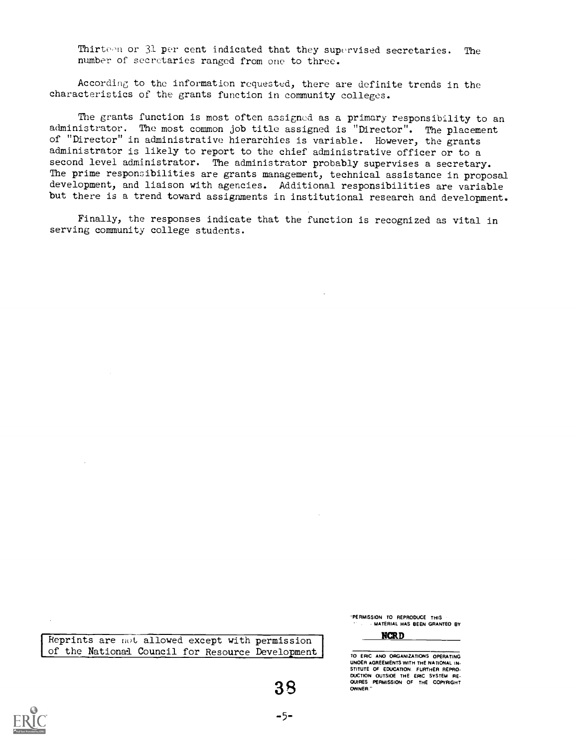Thirteen or 31 per cent indicated that they supervised secretaries. The number of secretaries ranged from one to three.

According to the information requested, there are definite trends in the characteristics of the grants function in community colleges.

The grants function is most often assigned as a primary responsibility to an administrator. The most common job title assigned is "Director". The placement of "Director" in administrative hierarchies is variable. However, the grants administrator is likely to report to the chief administrative officer or to a second level administrator. The administrator probably supervises a secretary. The prime responsibilities are grants management, technical assistance in proposal development, and liaison with agencies. Additional responsibilities are variable but there is a trend toward assignments in institutional research and development.

Finally, the responses indicate that the function is recognized as vital in serving community college students.

Reprints are not allowed except with permission of the National Council for Resource Development

"PERMISSION TO REPRODUCE THIS . MATERIAL HAS BEEN GRANTEO BY

NCRD

SUIRES PERMISSION OF THE COPYRIGHT TO ERIC ANO ORGANIZATIONS OPERATING UNOER AGREEMENTS WITH THE NATIONAL IN- STITUTE OF EDUCATION. FURTHER REPRO.<br>DUCTION OUTSIOE THE ERIC SYSTEM RE-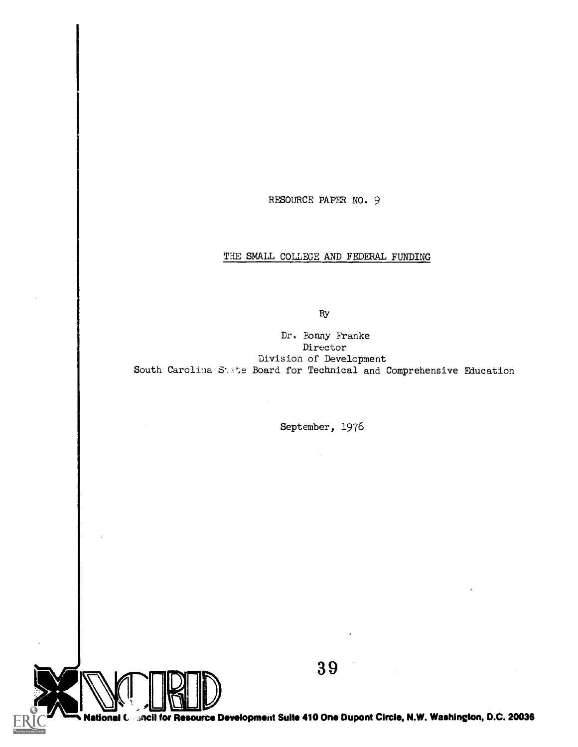RESOURCE PAPER NO. 9

## THE SMALL COLLEGE AND FEDERAL FUNDING

By

Dr, Bonny Franke Director Division of Development South Carolina State Board for Technical and Comprehensive Education

September, 1976

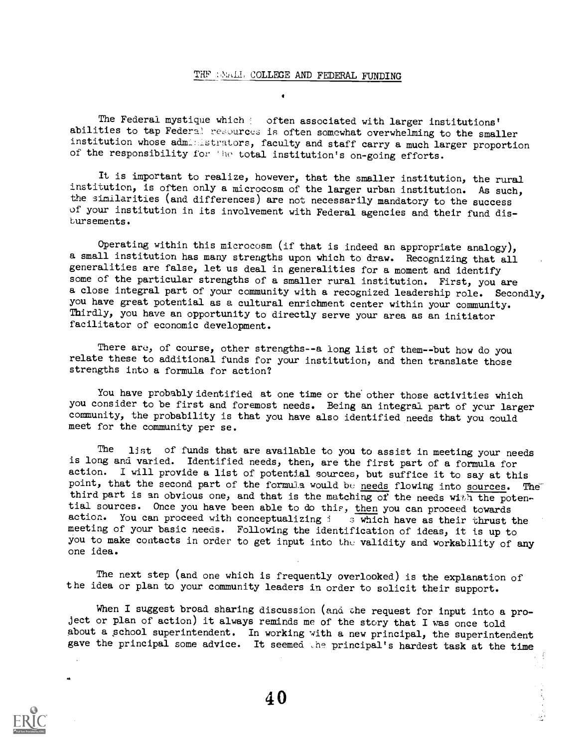#### THF WALL COLLEGE AND FEDERAL FUNDING

The Federal mystique which often associated with larger institutions' abilities to tap Federa! resources is often somewhat overwhelming to the smaller institution whose administrators, faculty and staff carry a much larger proportion of the responsibility for 'he total institution's on-going efforts.

It is important to realize, however, that the smaller institution, the rural institution, is often only a microcosm of the larger urban institution. As such, the similarities (and differences) are not necessarily mandatory to the success of your institution in its involvement with Federal agencies and their fund disbursements.

Operating within this microcosm (if that is indeed an appropriate analogy), a small institution has many strengths upon which to draw. Recognizing that all generalities are false, let us deal in generalities for a moment and identify some of the particular strengths of a smaller rural institution. First, you are a close integral part of your community with a recognized leadership role. Secondly, you have great potential as a cultural enrichment center within your community. Thirdly, you have an opportunity to directly serve your area as an initiator facilitator of economic development.

There are, of course, other strengths--a long list of them--but how do you relate these to additional funds for your institution, and then translate those strengths into a formula for action?

You have probably identified at one time or the other those activities which you consider to be first and foremost needs. Being an integral part of your larger community, the probability is that you have also identified needs that you could meet for the community per se.

The list of funds that are available to you to assist in meeting your needs is long and varied. Identified needs, then, are the first part of a formula for action. I will provide a list of potential sources, but suffice it to say at this point, that the second part of the formula would be needs flowing into sources. The third part is an obvious one, and that is the matching of the needs with the potential sources. Once you have been able to do this, then you can proceed towards action. You can proceed with conceptualizing  $i$  s which have as their thrust the meeting of your basic needs. Following the identification of ideas, it is up to you to make contacts in order to get input into the validity and workability of any one idea.

The next step (and one which is frequently overlooked) is the explanation of the idea or plan to your community leaders in order to solicit their support.

When I suggest broad sharing discussion (and the request for input into a project or plan of action) it always reminds me of the story that I was once told about a school superintendent. In working with a new principal, the superintendent gave the principal some advice. It seemed the principal's hardest task at the time

 $\mathcal{L}^{\text{eff}}_{\text{eff}}$ 

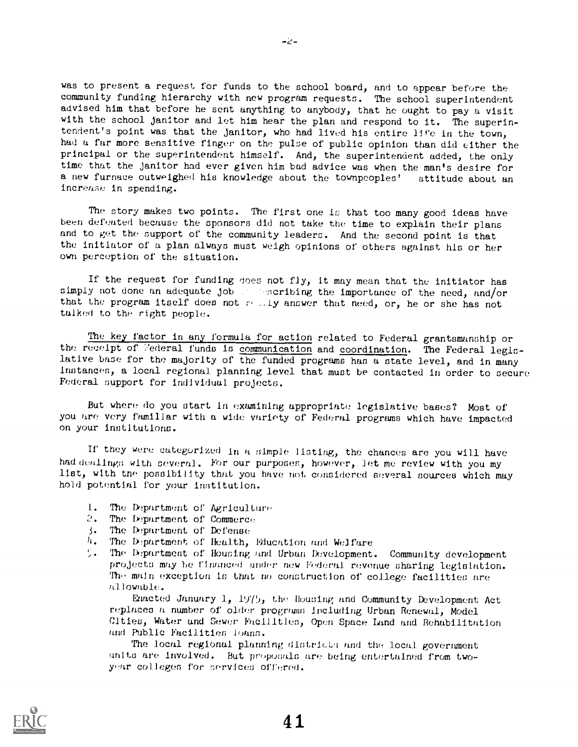was to present a request for funds to the school board, and to appear before the community funding hierarchy with new program requests. The school superintendent advised him that before he sent anything to anybody, that he ought to pay a visit with the school janitor and let him hear the plan and respond to it. The superintendent's point was that the janitor, who had lived his entire life in the town, had a far more sensitive finger on the pulse of public opinion than did either the principal or the superintendent himself. And, the superintendent added, the only time that the janitor had ever given him bad advice was when the man's desire for a new furnace outweighed his knowledge about the townpeoples' attitude about an increase in spending.

The story makes two points. The first one is that too many good ideas have been defeated because the sponsors did not take the time to explain their plans and to get the support of the community leaders. And the second point is that the initiator of a plan always must weigh opinions of others against his or her own perception of the situation.

If the request for funding does not fly, it may mean that the initiator has simply not done an adequate job , sencribing the importance of the need, and/or that the program itself does not  $r$ ,  $1y$  answer that need, or, he or she has not talked to the right people.

The key factor in any formula for action related to Federal grantsmanship or the receipt of Federal funds is communication and coordination. The Federal legislative base for the majority of the funded programs has a state level, and in many instances) a local regional planning level that must be contacted in order to secure Federal support for individual projects.

But where do you start in examining appropriate legislative bases? Most of you are very familiar with a wide variety of Federal programs which have impacted on your institutions.

If they were categorized in a simple listing, the chances are you will have had dealings with several. For our purposes, however, let me review with you my list) with the possibility that you have not considered several sources which may hold potential for your intitution.

- 1. The Department of Agriculture
- 2. The Department of Commerce
- 3. The Department or Defense
- 4. The Department of Health, Education and Welfare<br>5. The Department of Housing and Urban Development.
- The Department of Housing and Urban Development. Community development projects may be financed under new Federal revenue sharing legislation. The main exception is that no construction of college facilities are allowable.

Enacted January 1,  $19/5$ , the Housing and Community Development Act replaces a number of older programs includlng Urban Renewal) Model Cities) Water and Sewer Facilities) Open Space Land. and Rehabilitation and Public Facilities loans.

The local regional planning districts and the local government units are involved. But proposals are being entertained from twoyear colleges for services offered.

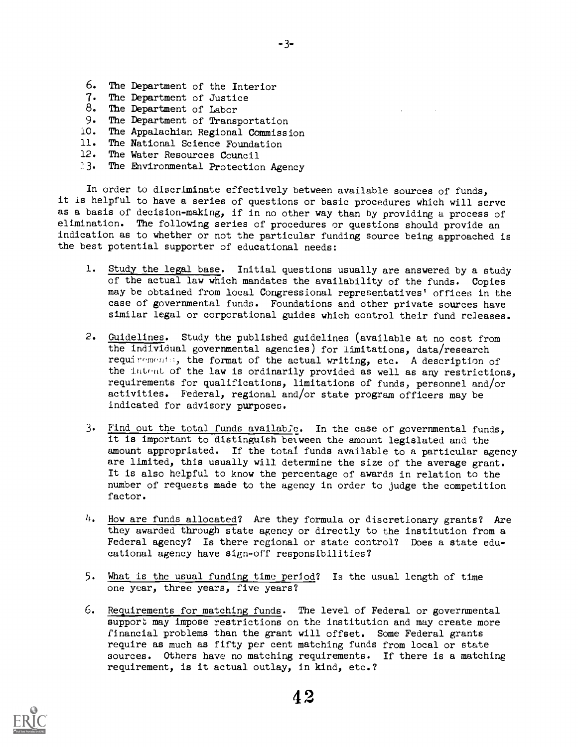- 6. The Department of the Interior
- 7. The Department of Justice
- 8. The Department of Labor<br>9. The Department of Transm
- The Department of Transportation
- 10. The Appalachian Regional Commission
- 11. The National Science Foundation
- 12. The Water Resources Council
- 23. The Environmental Protection Agency

In order to discriminate effectively between available sources of funds, it is helpful to have a series of questions or basic procedures which will serve as a basis of decision-making, if in no other way than by providing a process of elimination. The following series of procedures or questions should provide an indication as to whether or not the particular funding source being approached is the best potential supporter of educational needs:

- 1. Study the legal base. Initial questions usually are answered by a study of the actual law which mandates the availability of the funds. Copies may be obtained from local Congressional representatives' offices in the case of governmental funds. Foundations and other private sources have similar legal or corporational guides which control their fund releases.
- 2. Guidelines. Study the published guidelines (available at no cost from the individual governmental agencies) for limitations, data/research requirements, the format of the actual writing, etc. A description of the intent of the law is ordinarily provided as well as any restrictions, requirements for qualifications, limitations of funds, personnel and/or activities. Federal, regional and/or state program officers may be indicated for advisory purposes.
- 3. Find out the total funds available. In the case of governmental funds, it is important to distinguish belween the amount legislated and the amount appropriated. If the total funds available to a particular agency are limited, this usually will determine the size of the average grant. It is also helpful to know the percentage of awards in relation to the number of requests made to the agency in order to judge the competition factor.
- $h$ . How are funds allocated? Are they formula or discretionary grants? Are they awarded through state agency or directly to the institution from a Federal agency? Is there regional or state control? Does a state educational agency have sign-off responsibilities?
- 5. What is the usual funding time\_period? Is the usual length of time one year, three years, five years?
- 6. Requirements for matching funds. The level of Federal or governmental support may impose restrictions on the institution and may create more financial problems than the grant will offset. Some Federal grants require as much as fifty per cent matching funds from local or state sources. Others have no matching requirements. If there is a matching requirement, is it actual outlay, in kind, etc.?

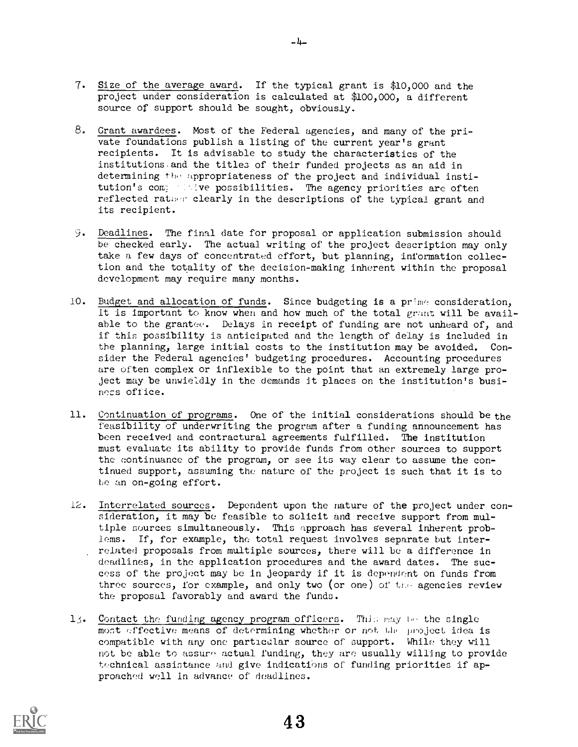- 7. Size of the average award. If the typical grant is \$10,000 and the project under consideration is calculated at \$100,000, a different source of support should be sought, obviously.
- 8. Grant awardees. Most of the Federal agencies, and many of the private foundations publish a listing of the current year's grant recipients. It is advisable to study the characteristics of the institutions.and the titles of their funded projects as an aid in determining the appropriateness of the project and individual institution's comprehensive possibilities. The agency priorities are often reflected rather clearly in the descriptions of the typical grant and its recipient.
- 9. Deadlines. The final date for proposal or application submission should be checked early. The actual writing of the project description may only take a few days of concentrated effort, but planning, information collection and the totality of the decision-making inherent within the proposal development may require many months.
- 10. Budget and allocation of funds. Since budgeting is a prime consideration, it is important to know when and how much of the total  $pr$  ant will be available to the grantee. Delays in receipt of funding are not unheard of, and if this possibility is anticipated and the length of delay is included in the planning, large initial costs to the institution may be avoided. Consider the Federal agencies' budgeting procedures. Accounting procedures are often complex or inflexible to the point that an extremely large project may be unwieldly in the demands it places on the institution's business office.
- 11. Continuation of programs. One of the initial considerations should be the feasibility of underwriting the program after a funding announcement has been received and contractural agreements fulfilled. The institution must evaluate its ability to provide funds from other sources to support the continuance of the program, or see its way clear to assume the continued support, assuming the nature of the project is such that it is to be an on-going effort.
- 12. Interrelated sources. Dependent upon the nature of the project under consideration, it may be feasible to solicit and receive support from multiple sources simultaneously. This approach has several inherent problems. If, for example, the total request involves separate but interrelated proposals from multiple sources, there will be a difference in deadlines, in the application procedures and the award dates. The success of the project may be in jeopardy if it is dependent on funds from three sources, for example, and only two (or one) of the agencies review the proposal favorably and award the funds.
- 13. Contact the funding agency program officers. This may be the single most effective means of determining whether or not the project idea is compatible with any one particular source of support. While they will not be able to assure actual funding, they are usually willing to provide technical assistance and give indications of funding priorities if approached well in advance of deadlines.

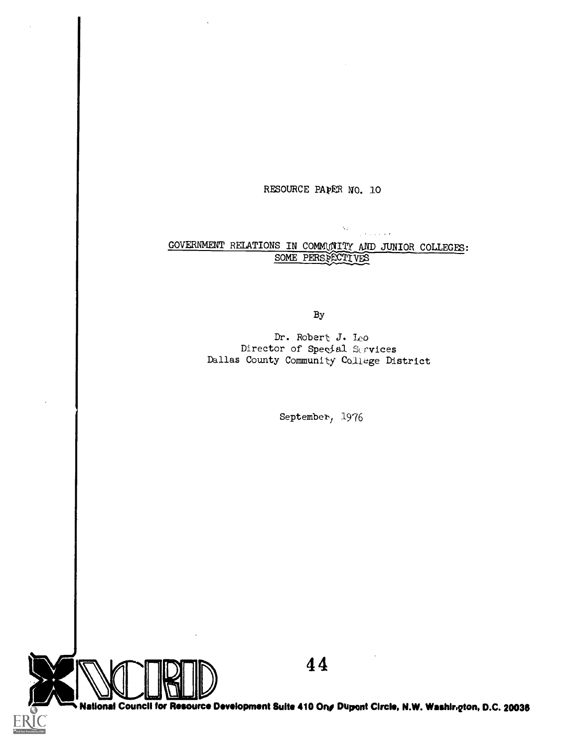## RESOURCE PAPER NO. 10

N.

**Contractor** 

## GOVERNMENT RELATIONS IN COMMUNITY AND JUNIOR COLLEGES: SOME PERSPECTIVES

By

Dr. Robert J. leo Director of Special Services Dallas County Community College District

September, 1976



4 4

National Council for Resource Development Suite 410 On $\bm{s}$  Dupont Circle, N.W. Washir، $q$ ton, D.C. 20036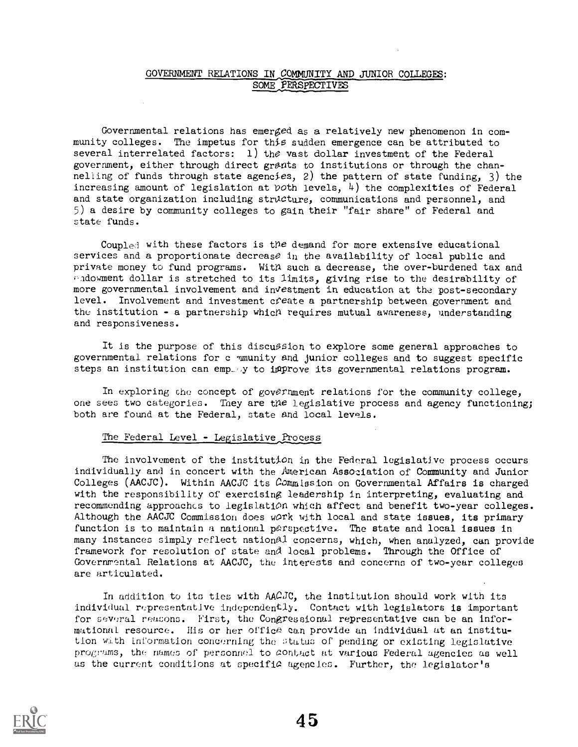## GOVERNMENT RELATIONS IN COMMUNITY AND JUNIOR COLLEGES: SOME PERSPECTIVES

Governmental relations has emerged as a relatively new phenomenon in community colleges. The impetus for thia sudden emergence can be attributed to several interrelated factors: 1) the vast dollar investment of the Federal government, either through direct grants to institutions or through the channelling of funds through state agencies, 2) the pattern of state funding, 3) the increasing amount of legislation at  $p$ oth levels,  $4$ ) the complexities of Federal and state organization including structure, communications and personnel, and 5) a desire by community colleges to gain their "fair share" of Federal and state funds.

Coupled with these factors is the demand for more extensive educational services and a proportionate decrease in the availability of local public and private money to fund programs. With such a decrease, the over-burdened tax and endowment dollar is stretched to its limits, giving rise to the desirability of more governmental involvement and investment in education at the post-secondary level. Involvement and investment create a partnership between government and the institution - a partnership which requires mutual awareness, understanding and responsiveness.

It is the purpose of this discussion to explore some general approaches to governmental relations for c mmunity and junior colleges and to suggest specific steps an institution can emp... $y$  to inprove its governmental relations program.

In exploring the concept of government relations for the community college, one sees two categories. They are the legislative process and agency functioning; both are found at the Federal, state and local levels.

## The Federal Level - Legislative Process

The involvement of the institution in the Federal legislative process occurs individually and in concert with the Merican Association of Community and Junior Colleges (AACJC). Within AACJC its Commission on Governmental Affairs is charged with the responsibility of exercising leadership in interpreting, evaluating and recommending approaches to legislation which affect and benefit two-year colleges. Although the AACJC Commission does work with local and state issues, its primary function is to maintain a national parspective. The state and local issues in many instances simply reflect nationAl concerns, which, when analyzed, can provide framework for resolution of state and iocal problems. Through the Office of Governmental Relations at AACJC, the interests and concerns of two-year colleges are articulated.

In addition to its ties with  $AAGJC$ , the institution should work with its individual representative independently. Contact with legislators is important for several reasons. First, the Congressional representative can be an informational resource. His or her office can provide an individual at an institution with information concerning the atutas of pending or existing legislative programs, the names of personnel to contact at various Federal agencies as well us the current conditions at specific agencies. Further, the legislator's

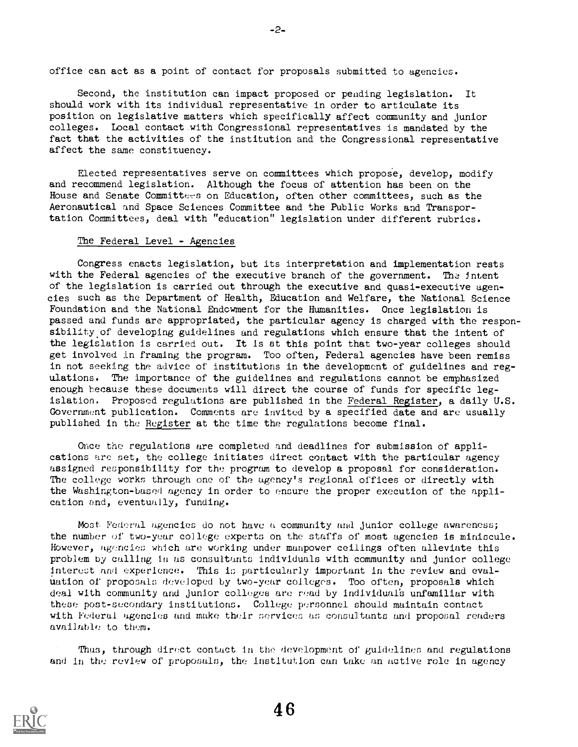office can act as a point of contact for proposals submitted to agencies.

Second, the institution can impact proposed or pending legislation. It should work with its individual representative in order to articulate its position on legislative matters which specifically affect community and junior colleges. Local contact with Congressional representatives is mandated by the fact that the activities of the institution and the Congressional representative affect the same constituency.

Elected representatives serve on committees which propose, develop, modify and recommend legislation. Although the focus of attention has been on the House and Senate Committees on Education, often other committees, such as the Aeronautical and Space Sciences Committee and the Public Works and Transportation Committees, deal with "education" legislation under different rubrics.

#### The Federal Level - Agencies

Congress enacts legislation, but its interpretation and implementation rests with the Federal agencies of the executive branch of the government. The intent of the legislation is carried out through the executive and quasi-executive ugencies such as the Department of Health, Education and Welfare, the National Science Foundation and the National Endcwment for the Humanities. Once legislation is passed and funds are appropriated, the particular agency is charged with the responsibility of developing guidelines and regulations which ensure that the intent of the legislation is carried out. It is at this point that two-year colleges should get involved in framing the program. Too often, Federal agencies have been remiss in not seeking the advice of institutions in the development of guidelines and regulations. The importance of the guidelines and regulations cannot be emphasized enough because these documents will direct the course of funds for specific legislation. Proposed regulations are published in the Federal Register, a daily U.S. Government publication. Comments are invited by a specified date and are usually published in the Register at the time the regulations become final.

Once the regulations are completed and deadlines for submission of applications are set, the college initiates direct contact with the particular agency assigned responsibility for the program to develop a proposal for consideration. The college works through one of the agency's regional offices or directly with the Washington-based agency in order to ensure the proper execution of the application and, eventually, funding.

Most Federal agencies do not have a community and junior college awareness; the number of two-year college experts on the staffs of most agencies is miniscule. However, agencies which are working under manpower ceilings often alleviate this problem by calling in as consultants individuals with community and junior college interest and experience. This is particularly important in the review and evaluation of proposals developed by two-year colleges. Too often, proposals which deal with community and Junior colleges are read by individual's unfamiliar with these post-secondary institutions. College personnel should maintain contact with Federal agencies and make their services as consultants and proposal readers available to them.

Thus, through direct contact in the development of guidelines and regulations and in the review of proposals, the institution can take an active role in agency

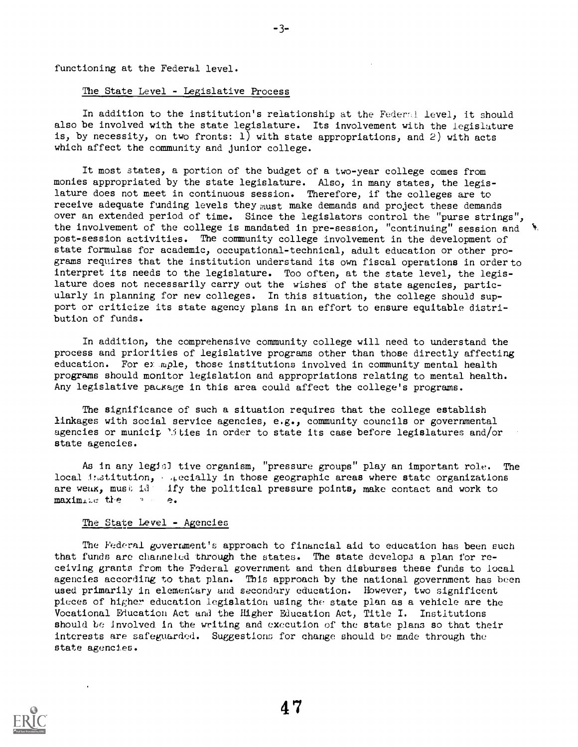functioning at the Federal level.

## The State Level - Legislative Process

In addition to the institution's relationship at the Federal level, it should also be involved with the state legislature. Its involvement with the legislature is, by necessity, on two fronts: 1) with state appropriations, and 2) with acts which affect the community and junior college.

3-

It most states, a portion of the budget of a two-year college comes from monies appropriated by the state legislature. Also, in many states, the legislature does not meet in continuous session. Therefore, if the colleges are to receive adequate funding levels they must make demands and project these demands over an extended period of time. Since the legislators control the "purse strings", the involvement of the college is mandated in pre-session, "continuing" session and  $\,$   $\,$ post-session activities. The community college involvement in the development of state formulas for academic, occupational-technical, adult education or other programs requires that the institution understand its own fiscal operations in order to interpret its needs to the legislature. Too often, at the state level, the legislature does not necessarily carry out the wishes of the state agencies, particularly in planning for new colleges. In this situation, the college should support or criticize its state agency plans in an effort to ensure equitable distribution of funds.

In addition, the comprehensive community college will need to understand the process and priorities of legislative programs other than those directly affecting education. For eyample, those institutions involved in community mental health programs should monitor legislation and appropriations relating to mental health. Any legislative pauxage in this area could affect the college's programs.

The significance of such a situation requires that the college establish linkages with social service agencies, e.g., community councils or governmental agencies or municip '.ities in order to state its case before legislatures and/or state agencies.

As in any legis) tive organism, "pressure groups" play an important role. The local institution, , , ecially in those geographic areas where state organizations are weak, must id- ify the political pressure points, make contact and work to maximite the , e.

#### The State Level - Agencies

The Federal government's approach to financial aid to education has been such that funds are channeled through the states. The state develops a plan for receiving grants from the Federal government and then disburses these funds to local agencies according to that plan. This approach by the national government has been used primarily in elementary and secondary education. However, two significent pieces of higher education legislation using the state plan as a vehicle are the Vocational Education Act and the Higher Education Act, Title I. Institutions should be Involved in the writing and execution of the state plans so that their interests are safeguarded. Suggestions for change should be made through the state agencies.

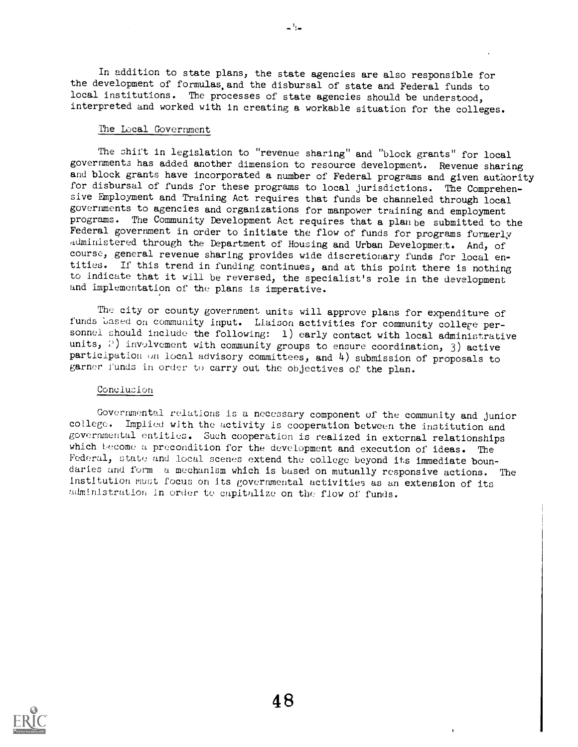In addition to state plans, the state agencies are also responsible for the development of formulas,and the disbursal of state and Federal funds to local institutions. The processes of state agencies should be understood, interpreted and worked with in creating a workable situation for the colleges.

 $-1$ 

#### The Local Government

The shift in legislation to "revenue sharing" and "block grants" for local governments has added another dimension to resource development. Revenue sharing and block grants have incorporated a number of Federal programs and given authority for disbursal of funds for these programs to local jurisdictions. The Comprehensive Employment and Training Act requires that funds be channeled through local governments to agencies and organizations for manpower training and employment programs. The Community Development Act requires that a plan be submitted to the Federal government in order to initiate the flow of funds for programs formerly administered through the Department of Housing and Urban Development. And, of course, general revenue sharing provides wide discretionary funds for local entities. If this trend in funding continues, and at this point there is nothing to indicate that it will be reversed, the specialist's role in the development and implementation of the plans is imperative.

The city or county government units will approve plans for expenditure of funds based on community input. Liaison activities for community college personnel should include the following: 1) early contact with local administrative units,  $P$ ) involvement with community groups to ensure coordination, 3) active participation un local advisory committees, and 4) submission of proposals to garner funds in order to carry out the objectives of the plan.

## Conclucion

Governmental relations is a necessary component of the community and junior college. Implied with the activity is cooperation between the institution and governmental entities. Such cooperation is realized in external relationships which become a precondition for the development and execution of ideas. The Federal, state and local scenes extend the college beyond its immediate boundaries and form a mechanism which is based on mutually responsive actions. The institution must focus on its governmental activities as an extension of its administration in order te capitalize on the flow of funds.

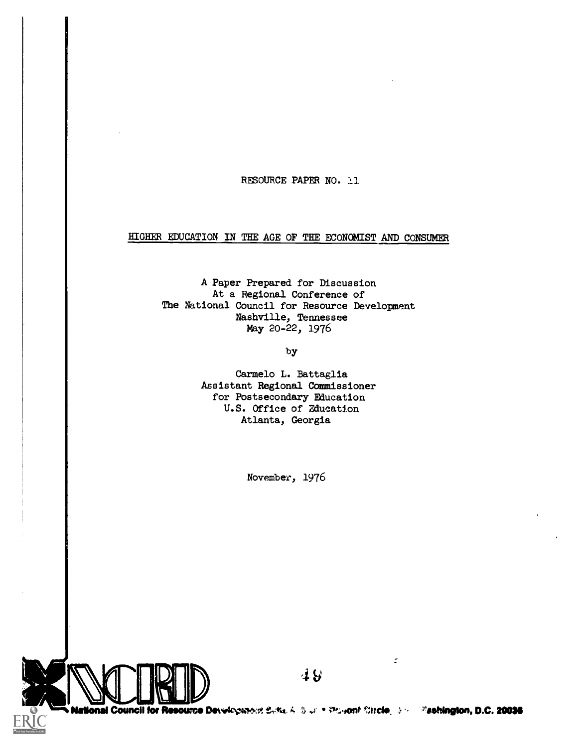## RESOURCE PAPER NO. 11

## HIGHER EDUCATION IN THE AGE OF THE ECONOMIST AND CONSUMER

A Paper Prepared for Discussion At a Regional Conference of The National Council for Resource Development Nashville, Tennessee May 20-22, 1976

by

Carmelo L. Battaglia Assistant Regional Commissioner for Postsecondary Education U.S. Office of Education Atlanta, Georgia

November, 1976



 $\mathbb{Z}^2$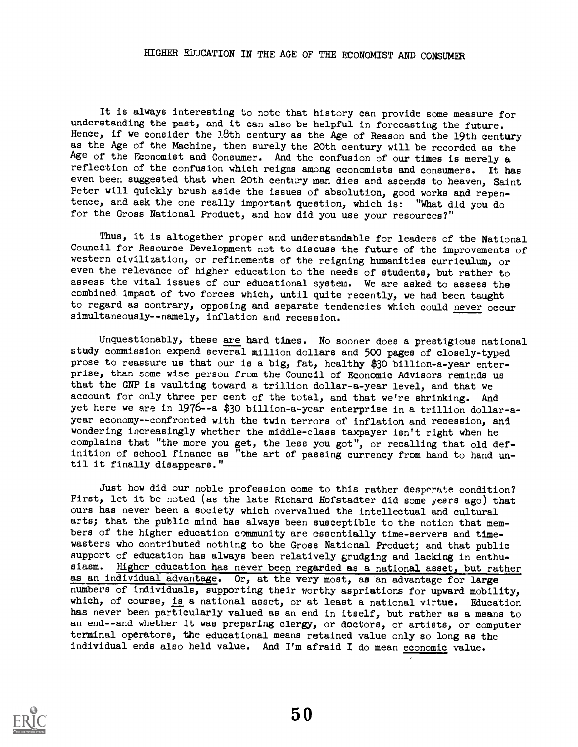## HIGHER EDUCATION IN THE AGE OF THE ECONOMIST AND CONSUMER

It is always interesting to note that history can provide some measure for understanding the past, and it can also be helpful in forecasting the future. Hence, if we consider the 18th century as the Age of Reason and the 19th century as the Age of the Machine, then surely the 20th century will be recorded as the Age of the Economist and Consumer. And the confusion of our times is merely a reflection of the confusion which reigns among economists and consumers. It has even been suggested that when 20th century man dies and ascends to heaven, Saint Peter will quickly brush aside the issues of absolution, good works and repen-<br>tence, and ask the one really important question, which is: "What did you do tence, and ask the one really important question, which is: for the Gross National Product, and how did you use your resources?"

Thus, it is altogether proper and understandable for leaders of the National Council for Resource Development not to discuss the future of the improvements of western civilization, or refinements of the reigning humanities curriculum, or even the relevance of higher education to the needs of students, but rather to assess the vital issues of our educational system. We are asked to assess the combined, impact of two forces which, until quite recently, we had been taught to regard as contrary, opposing and separate tendencies which could never occur simultaneously--namely, inflation and recession.

Unquestionably, these are hard times. No sooner does a prestigious national study commission expend several million dollars and 500 pages of closely-typed prose to reassure us that our is a big, fat, healthy \$30 billion-a-year enterprise, than some wise person from the Council of Economic Advisors reminds us that the GNP is vaulting toward a trillion dollar-a-year level, and that we account for only three per cent of the total, and that we're shrinking. And yet here we are in 1976--a \$30 billion-a-year enterprise in a trillion dollar-ayear economy--confronted with the twin terrors of inflation and recession, and wondering increasingly whether the middle-class taxpayer isn't right when he complains that "the more you get, the less you got", or recalling that old definition of school finance as "the art of passing currency from hand to hand un-<br>til it finally disappears."

Just how did our noble profession come to this rather desperate condition? First, let it be noted (as the late Richard Hofstadter did some years ago) that ours has never been a society which overvalued the intellectual and cultural arts; that the public mind has always been susceptible to the notion that mem bers of the higher education community are essentially time-servers and timewasters who contributed nothing to the Gross National Product; and that public support of education has always been relatively grudging and lacking in enthusiasm. Higher education has never been regarded as a national asset, but rather as an individual advantage. Or, at the very most, as en advantage for large numbers of individuals, supporting their worthy aspriations for upward mobility, which, of course, is a national asset, or at least a national virtue. Education has never been particularly valued as an end in itself, but rather as a means to an end--and whether it was preparing clergy, or doctors, or artists, or computer terminal operators, the educational means retained value only so long as the individual ends also held value. And I'm afraid I do mean economic value.

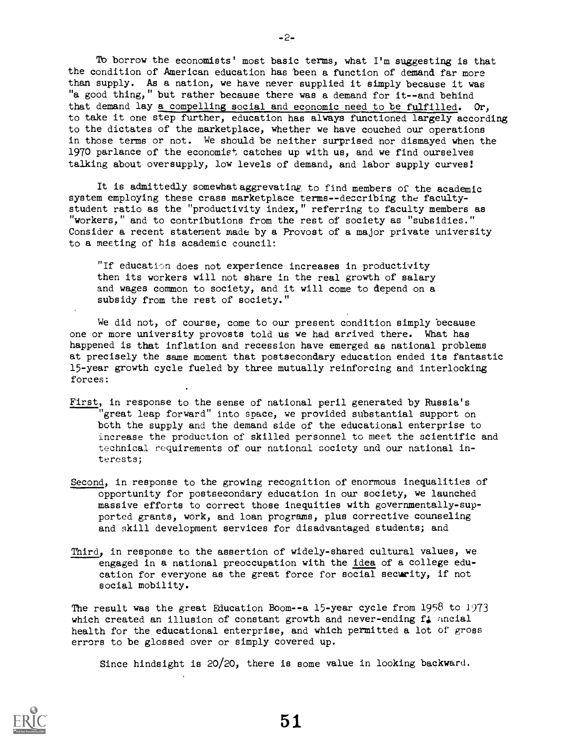To borrow the economists' most basic terms, what I'm suggesting is that the condition of American education has teen a function of demand far more than supply. As a nation, we have never supplied it simply because it was "a good thing," but rather because there was a demand for it--and behind that demand lay a compelling social and economic need to be fulfilled. Or, to take it one step further, education has always functioned largely according to the dictates of the marketplace, whether we have couched our operations in those terms or not. We should be neither surprised nor dismayed when the 1970 parlance of the economist catches up with us, and we find ourselves talking about oversupply, low levels of demand, and labor supply curves!

It is admittedly somewhataggrevating to find members of the academic system employing these crass marketplace terms--describing the facultystudent ratio as the "productivity index," referring to faculty members as "workers," and to contributions from the rest of society as "subsidies." Consider a recent statement made by a Provost of a major private university to a meeting of his academic council:

"If education does not experience increases in productivity then its workers will not share in the real growth of salary and wages common to society, and it will come to depend on a subsidy from the rest of society."

We did not, of course, come to our present condition simply because one or more university provosts told us we had arrived there. What has happened is that inflation and recession have emerged as national problems at precisely the same moment that postsecondary education ended its fantastic 15-year growth cycle fueled by three mutually reinforcing and interlocking forces:

- First, in response to the sense of national peril generated by Russia's great leap forward" into snace, we provided substantial support on both the supply and the demand side of the educational enterprise to increase the production of skilled personnel to meet the scientific and technical requirements of our national society and our national interests;
- Second, in response to the growing recognition of enormous inequalities of opportunity for postsecondary education in our society, we launched massive efforts to correct those inequities with governmentally-supported grants, work, and loan programs, plus corrective counseling and skill development services for disadvantaged students; and
- Third, in response to the assertion of widely-shared cultural values, we engaged in a national preoccupation with the idea of a college education for everyone as the great force for social security, if not social mobility.

The result was the great Education Boom--a 15-year cycle from 1958 to 1973 which created an illusion of constant growth and never-ending f<sub>4</sub> ancial health for the educational enterprise, and which permitted a lot of gross errors to be glossed over or simply covered up.

Since hindsight is 20/20, there is some value in looking backward.



-2-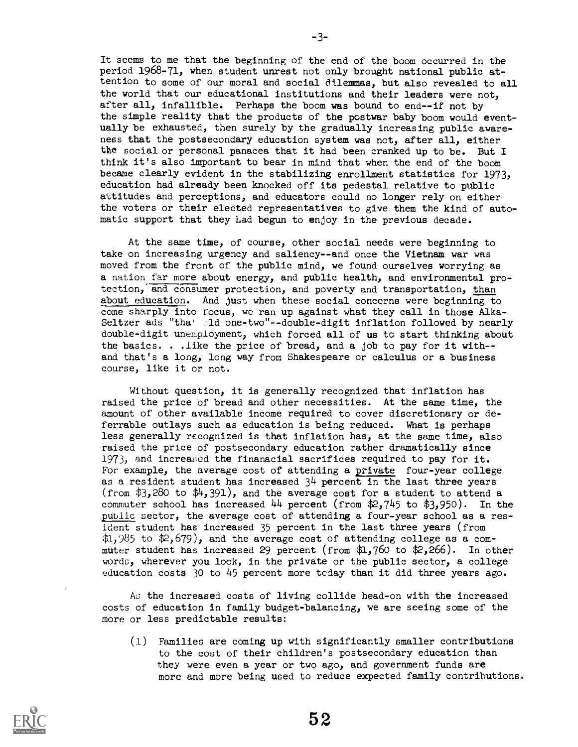It seems to me that the beginning of the end of the boom occurred in the period 1968-71, when student unrest not only brought national public attention to some of our moral and social dilemmas, but also revealed to all the world that our educational institutions and their leaders were not, after all, infallible. Perhaps the boom was bound to end--if not by the simple reality that the products of the postwar baby boom would eventually be exhausted, then surely by the gradually increasing public awareness that the postsecondary education system was not, after all, either the social or personal panacea that it had been cranked up to be. But I think it's also important to bear in mind that when the end of the boom became clearly evident in the stabilizing enrollment statistics for 1973, education had already been knocked off its pedestal relative to public attitudes and perceptions, and educators could no longer rely on either the voters or their elected representatives to give them the kind of automatic support that they Lad begun to enjoy in the previous decade.

At the same time, of course, other social needs were beginning to take on increasing urgency and saliency--and once the Vietnam war was moved from the front of the public mind, we found ourselves worrying as a nation far more about energy, and public health, and environmental protection, and consumer protection, and poverty and transportation, than about education. And just when these social concerns were beginning to come sharply into focus, we ran up against what they call in those Alka-Seltzer ads "tha" ld one-two"--double-digit inflation followed by nearly double-digit unemployment; which forced all of us to start thinking about the basics. . .like the price of bread, and a job to pay for it with- and that's a long, long way from Shakespeare or calculus or a business course, like it or not.

Without question, it is generally recognized that inflation has raised the price of bread and other necessities. At the same time, the amount of other available income required to cover discretionary or deferrable outlays such as education is being reduced. What is perhaps less generally recognized is that inflation has, at the same time, also raised the price of postsecondary education rather dramatically since 1973, and increased the finanacial sacrifices required to pay for it. For example, the average cost of attending a private four-year college as a resident student has increased  $3<sup>1</sup>$  percent in the last three years (from \$3,280 to  $\mathcal{L}_1$ , 391), and the average cost for a student to attend a commuter school has increased  $44$  percent (from  $2,745$  to  $3,950$ ). In the public sector, the average cost of attending a four-year school as a resident student has increased 35 percent in the last three years (from  $31,985$  to  $2,679$ , and the average cost of attending college as a commuter student has increased 29 percent (from \$1,760 to \$2,266). In other words, wherever you look, in the private or the public sector, a college education costs 30 to 45 percent more teday than it did three years ago.

As the increased costs of living collide head-on with the increased costs of education in family budget-balancing, we are seeing some of the more or less predictable results:

(1) Families are coming up with significantly smaller contributions to the cost of their children's postsecondary education than they were even a year or two ago, and government funds are more and more being used to reduce expected family contributions.

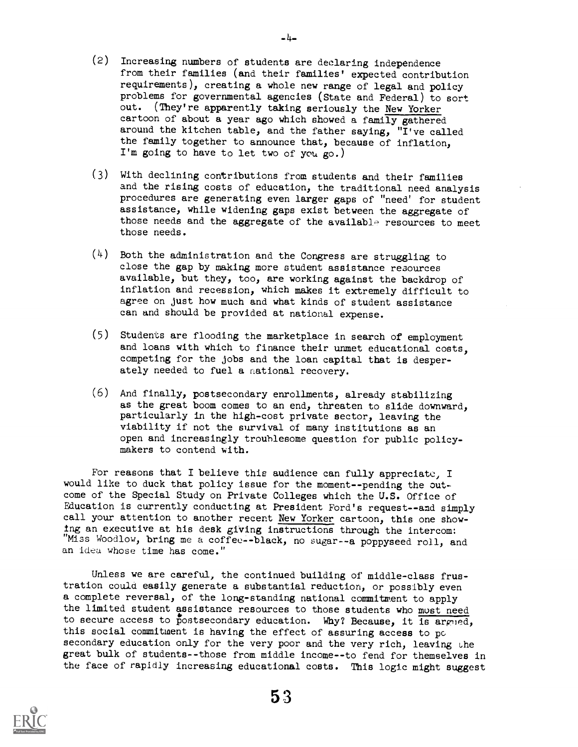(2) Increasing numbers of students are declaring independence from their families (and their families' expected contribution requirements), creating a whole new range of legal and policy problems for governmental agencies (State and Federal) to sort out. (They're apparently taking seriously the New Yorker cartoon of about a year ago which showed a family gathered around the kitchen table, and the father saying, "I've called the family together to announce that, because of inflation, I'm going to have to let two of you go.)

-4-

- (3) With declining contributions from students and their families and the rising costs of education, the traditional need analysis procedures are generating even larger gaps of "need' for student assistance, while widening gaps exist between the aggregate of those needs and the aggregate of the available resources to meet those needs.
- (4) Both the administration and the Congress are struggling to close the gap by making more student assistance resources available, but they, too, are working against the backdrop of inflation and recession, which makes it extremely difficult to agree on just how much and what kinds of student assistance can and should be provided at national expense.
- (5) Students are flooding the marketplace in search of employment and loans with which to finance their unmet educational costs, competing for the jobs and the loan capital that is desperately needed to fuel a national recovery.
- (6) And finally, postsecondary enrollments, already stabilizing as the great boom comes to an end, threaten to slide downward, particularly in the high-cost private sector, leaving the viability if not the survival of many institutions as an open and increasingly troublesome question for public policymakers to contend with.

For reasons that I believe this audience can fully appreciatc, I would like to duck that policy issue for the moment--pending the outcome of the Special Study on Private Colleges which the U.S. Office of Education is currently conducting at President Ford's request--and simply call your attention to another recent New Yorker cartoon, this one showing an executive at his desk giVing instructions through the intercom: "Miss Woodlow, bring me a coffee--black, no sugar--a poppyseed roll, and an idea whose time has come."

Unless we are careful, the continued building of middle-class frustration could easily generate a substantial reduction, or possibly even a complete reversal, of the long-standing national commitment to apply the limited student assistance resources to those students who must need to secure access to postsecondary education. Why? Because, it is argued, this social commitment is having the effect of assuring access to pc secondary education only for the very poor and the very rich, leaving the great bulk of students--those from middle income--to fend for themselves in the face of rapidly increasing educational costs. This logic might suggest

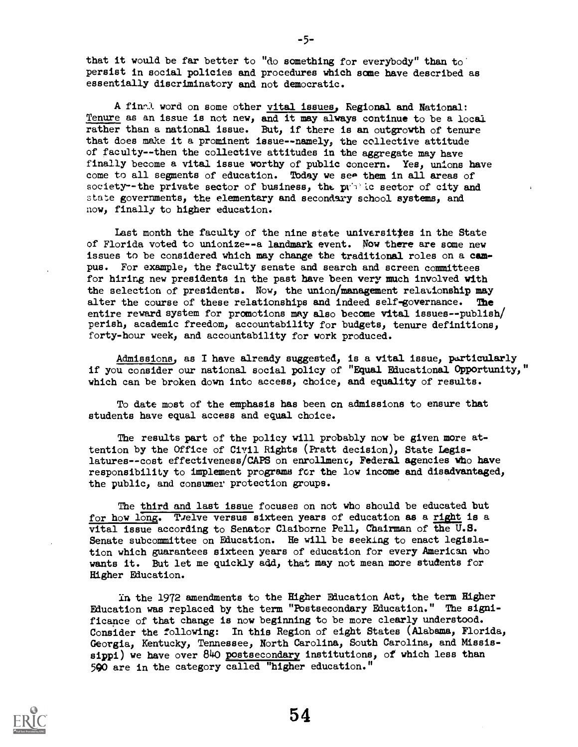that it would be far better to "do something for everybody" than to persist in social policies and procedures which same have described as essentially discriminatory and not democratic.

A finr.1 word on some other vital issues, Regional and National: Tenure as an issue is not new, and it may always continue to be a local rather than a national issue. But, if there is an outgrowth of tenure that does make it a prominent issue--namely, the collective attitude of faculty--then the collective attitudes in the aggregate may have finally become a vital issue worthy of public concern. Yes, unions have come to all segments of education. Today we see them in all areas of society--the private sector of business, the public sector of city and state governments, the elementary and secondary school systems, and now, finally to higher education.

Last month the faculty of the nine state universities in the State of Florida voted to unionize--a landmark event. Now there are some new issues to be considered which may change the traditional roles on a campus. For example, the faculty senate and search and screen committees for hiring new presidents in the past have been very much involved with the selection of presidents. Now, the union/management relationship may alter the course of these relationships and indeed self-governance. The entire reward system for promotions may also become vital issues--publish/ perish, academic freedom, accountability for budgets, tenure definitions, forty-hour week, and accountability for work produced.

Admissions, as I have already suggested, is a vital issue, particularly if you consider our national social policy of "Equal Educational Opportunity," which can be broken down into access, choice, and equality of results.

To date most of the emphasis has been on admissions to ensure that students have equal access and equal choice.

The results part of the policy will probably now be given more attention by the Office of Civil Rights (Pratt decision), State Legislatures--cost effectiveness/CAPS on enrollment, Federal agencies Who have responsibility to implement programs for the low income and disadvantaged, the public, and consumer protection groups.

The third and last issue focuses on not who should be educated but for how long. Twelve versus sixteen years of education as a right is a vital issue according to Senator Claiborne Pell, Chairman of the U.S. Senate subcommittee on Education. He will be seeking to enact legislation which guarantees sixteen years of education for every American who wants it. But let me quickly add, that may not mean more students for Higher Education.

In the 1972 amendments to the Higher Education Act, the term Higher Education was replaced by the term "POstsecondary Education." The significance of that change is now beginning to be more clearly understood. Consider the following: In this Region of eight States (Alabama, Florida, Georgia, Kentucky, Tennessee, North Carolina, South Carolina, and Mississippi) we have over 840 postsecondary institutions, of which less than 590 are in the category called "higher education."



-5-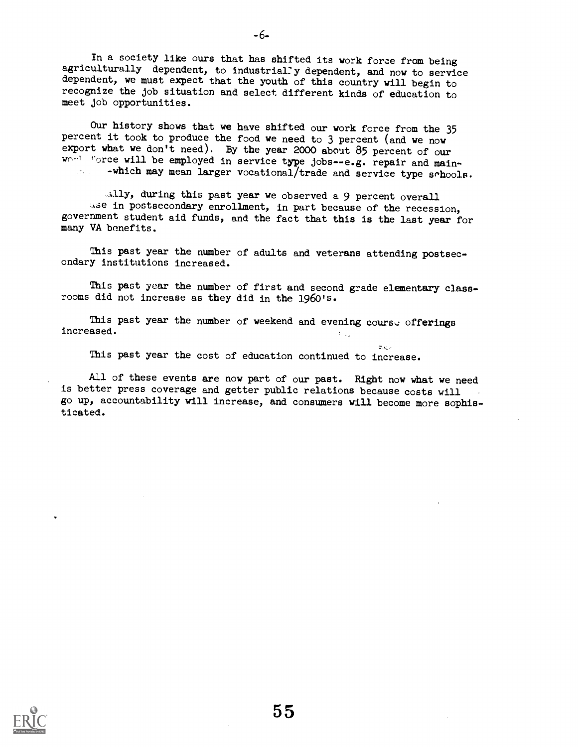In a society like ours that has shifted its work force from being agriculturally dependent, to industrially dependent, and now to service dependent, we must expect that the youth of this country will begin to recognize the job situation and select different kinds of education to meet job opportunities.

- 6-

Our history shows that we have shifted our work force from the 35 percent it took to produce the food we need to 3 percent (and we now export what we don't need). By the year 2000 about 85 percent of our  $W^{(1)}$  force will be employed in service type jobs--e.g. repair and main-<br>- which may mean larger vocational/trade and souries type school. -which may mean larger vocational/trade and service type  $s$ chools.

.adly, during this past year we observed a 9 percent overall use in postsecondary enrollment, in part because of the recession, government student aid funds, and the fact that this is the last year for many VA benefits.

This past year the number of adults and veterans attending postsecondary institutions increased.

This past year the number of first and second grade elementary classrooms did not increase as they did in the 1960's.

This past year the number of weekend and evening course offerings increased.

This past year the cost of education continued to increase.

All of these events are now part of our past. Right now what we need is better press coverage and getter public relations because costs will go up, accountability will increase, and consumers will become more sophisticated.

 $\pi$ .  $\sim$ 

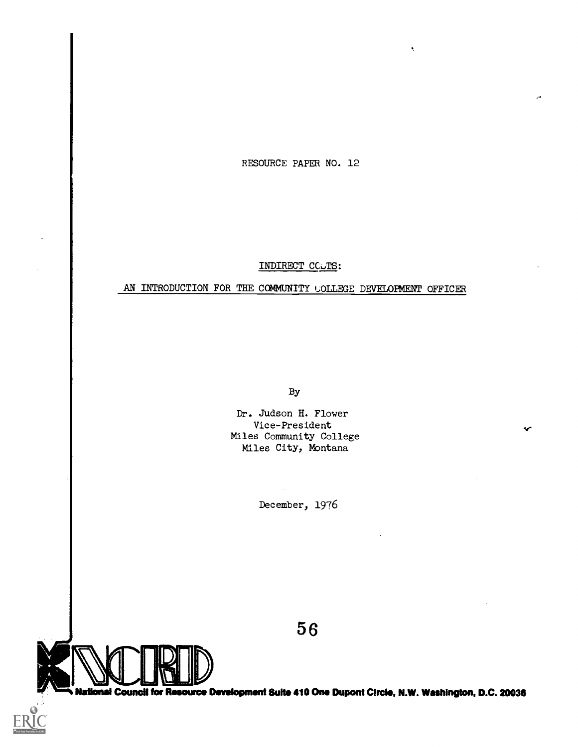RESOURCE PAPER NO. 12

## INDIRECT COUTS:

## AN INTRODUCTION FOR THE COMMUNITY COLLEGE DEVELOPMENT OFFICER

By

Dr. Judson H. Flower Vice-President Miles Community College Miles City, Montana

December, 1976

5 6

National Council for Resource Development Suite 410 One Dupont Circle, N.W. Washington, D.C. 20036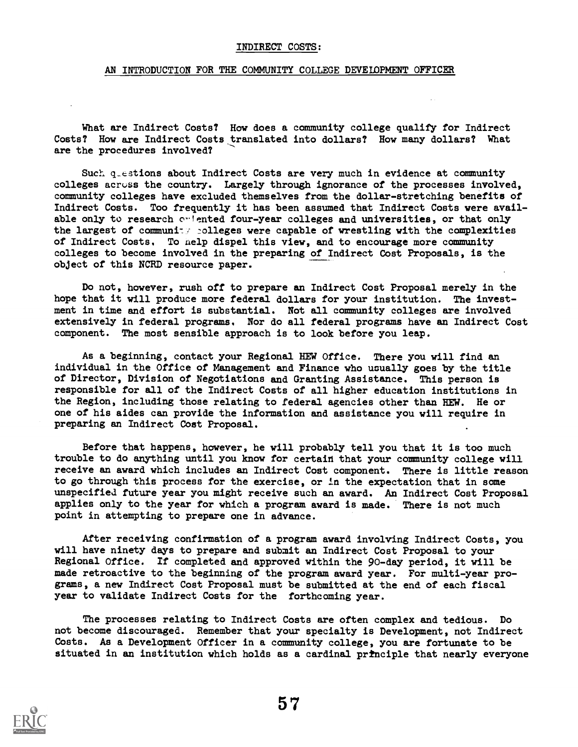#### INDIRECT COSTS:

#### AN INTRODUCTION FOR THE COMMUNITY COLLEGE DEVELOPMENT OFFICER

What are Indirect Costs? How does a community college qualify for Indirect Costs? How are Indirect Costs translated into dollars? How many dollars? What are the procedures involved?

Such questions about Indirect Costs are very much in evidence at community colleges acruss the country. Largely through ignorance of the processes involved, community colleges have excluded themselves from the dollar-stretching benefits of Indirect Costs. Too frequently it has been assumed that Indirect Costs were available only to research owlented four-year colleges and universities, or that only the largest of community colleges were capable of wrestling with the complexities of Indirect Costs. To nelp dispel this view, and to encourage more community colleges to become involved in the preparing of Indirect Cost Proposals, is the object of this NCRD resource paper.

Do not, however, rush off to prepare an Indirect Cost Proposal merely in the hope that it will produce more federal dollars for your institution. The investment in time and effort is substantial. Not all community colleges are involved extensively in federal programs. Nor do all federal programs have an Indirect Cost camponent. The most sensible approach is to look before you leap.

As a beginning, contact your Regional HEW Office. There you will find an individual in the Office of Management and Finance who usually goes by the title of Director, Division of Negotiations and Granting Assistance. This person is responsible for all of the Indirect Costs of all higher education institutions in the Region, including those relating to federal agencies other than HEW. He or one of his aides can provide the information and assistance you will require in preparing an Indirect Cost Proposal.

Before that happens, however, he will probably tell you that it is too much trouble to do anything until you know for certaid that your community college will receive an award which includes an Indirect Cost component. There is little reason to go through this process for the exercise, or In the expectation that in some unspecified future year you might receive such an award. An Indirect Cost Proposal applies only to the year for which a program award is made. There is not much point in attempting to prepare one in advance.

After receiving confirmation of a program award involving Indirect Costs, you will have ninety days to prepare and submit an Indirect Cost Proposal to your Regional Office. If completed and approved within the 90-day period, it will be made retroactive to the beginning of the program award year. For multi-year programs, a new Indirect Cost Proposal must be submitted at the end of each fiscal year to validate Indirect Costs for the forthcoming year.

The processes relating to Indirect Costs are often complex and tedious. Do not became discouraged. Remember that your specialty is Development, not Indirect Costs. As a Development Officer in a community college, you are fortunate to be situated in an institution which holds as a cardinal prtnciple that nearly everyone

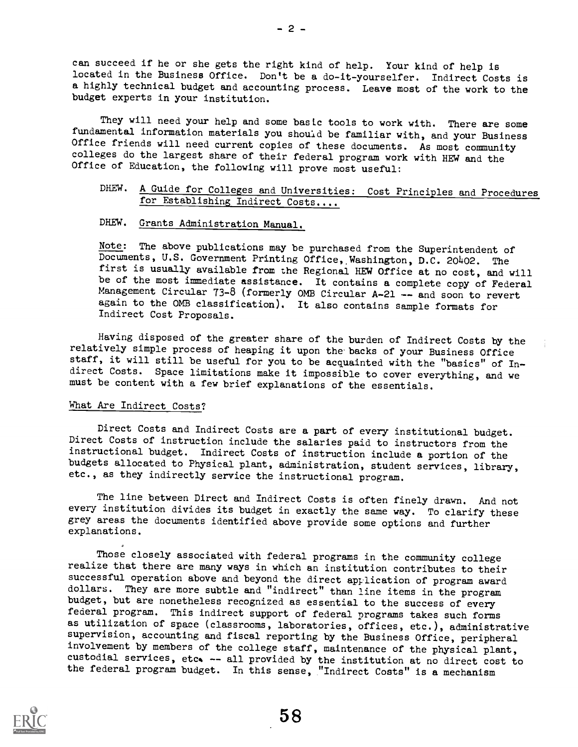can succeed if he or she gets the right kind of help. Your kind of help is located in the Business Office. Don't be a do-it-yourselfer. Indirect Costs is a highly technical budget and accounting process. Leave most of the work to the budget experts in your institution.

They will need your help and some basic tools to work with. There are some fundamental information materials you should be familiar with, and your Business Office friends will need current copies of these documents. As most community colleges do the largest share of their federal program work with HEW and the Office of Education, the following will prove most useful:

## DHEW. A Guide for Colleges and Universities: Cost Principles and Procedures for Establishing Indirect Costs....

## DHEW. Grants Administration Manual.

Note: The above publications may be purchased from the Superintendent of Documents, U.S. Government Printing Office,,Washington, D.C. 20402. The first is usually available from the Regional HEW Office at no cost, and will be of the most immediate assistance. It contains a complete copy of Federal Management Circular 73-8 (formerly OMB Circular A-21 -- and soon to revert again to the OMB classification). It also contains sample formats for Indirect Cost Proposals.

Having disposed of the greater share of the burden of Indirect Costs by the relatively simple process of heaping it upon the backs of your Business Office staff, it will still be useful for you to be acquainted with the "basics" of Indirect Costs. Space limitations make it impossible to cover everything, and we must be content with a few brief explanations of the essentials.

## What Are Indirect Costs?

Direct Costs and Indirect Costs are a part of every institutional budget. Direct Costs of instruction include the salaries paid to instructors from the instructional budget. Indirect Costs of instruction include a portion of the budgets allocated to Physical plant, administration, student services, library, etc., as they indirectly service the instructional program.

The line between Direct and Indirect Costs is often finely drawn. And not every institution divides its budget in exactly the same way. To clarify these grey areas the documents identified above provide some options and further explanations.

Those closely associated with federal programs in the community college realize that there are many ways in which an institution contributes to their successful operation above and beyond the direct application of program award dollars. They are more subtle and "indirect" than line items in the program budget, but are nonetheless recognized as essential to the success of every federal program. This indirect support of federal programs takes such forms as utilization of space (classrooms, laboratories, offices, etc.), administrative supervision, accounting and fiscal reporting by the Business Office, peripheral involvement by members of the college staff, maintenance of the physical plant, custodial services, etc. -- all provided by the institution at no direct cost to the federal program budget. In this sense, "Indirect Costs" is a mechanism

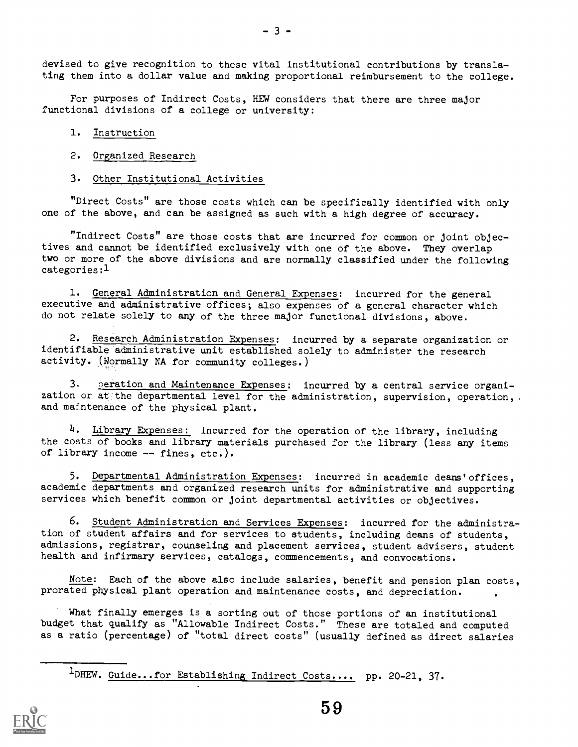devised to give recognition to these vital institutional contributions by translating them into a dollar value and making proportional reimbursement to the college.

For purposes of Indirect Costs, HEW considers that there are three major functional divisions of a college or university:

## 1. Instruction

## 2. Organized Research

#### 3. Other Institutional Activities

"Direct Costs" are those costs which can be specifically identified with only one of the above, and can be assigned as such with a high degree of accuracy.

"Indirect Costs" are those costs that are incurred for common or joint objectives and cannot be identified exclusively with one of the above. They overlap two or more of the above divisions and are normally classified under the following categories:1

1. General Administration and General Expenses: incurred for the general executive and administrative offices; also expenses of a general character which do not relate solely to any of the three major functional divisions, above.

2. Research Administration Expenses: incurred by a separate organization or identifiable administrative unit established solely to administer the research activity. (Normally NA for community colleges.)

3. peration and Maintenance Expenses: incurred by a central service organization or at the departmental level for the administration, supervision, operation,. and maintenance of the physical plant.

4. Library Expenses: incurred for the operation of the library, including the costs of books and library materials purchased for the library (less any items of library income -- fines, etc.).

5. Departmental Administration Expenses: incurred in academic deans'offices, academic departments and organized research units for administrative and supporting services which benefit common or joint departmental activities or objectives.

6. Student Administration and Services Expenses: incurred for the administration of student affairs and for services to students, including deans of students, admissions, registrar, counseling and placement services, student advisers, student health and infirmary services, catalogs, commencements, and convocations.

Note: Each of the above also include salaries, benefit and pension plan costs, prorated physical plant operation and maintenance costs, and depreciation.

What finally emerges is a sorting out of those portions of an institutional budget that qualify as "Allowable Indirect Costs." These are totaled and computed as a ratio (percentage) of "total direct costs" (usually defined as direct salaries

<sup>1</sup>DHEW. Guide...for Establishing Indirect Costs.... pp. 20-21, 37.

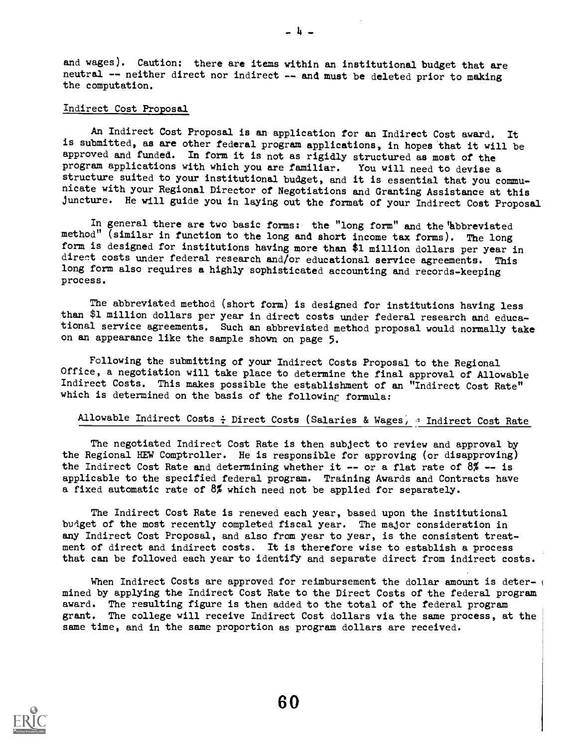and wages). Caution: there are items within an institutional budget that are neutral -- neither direct nor indirect -- and must be deleted prior to making the computation.

- 4 -

## Indirect Cost Proposal

An Indirect Cost Proposal is an application for an Indirect Cost award. It is submitted, as are other federal program applications, in hopes that it will be approved and funded. In form it is not as rigidly structured as most of the program applications with which you are familiar. You will need to devise a structure suited to your institutional budget, and it is essential that you communicate with your Regional Director of Negotiations and Granting Assistance at this juncture. He will guide you in laying out the format of your Indirect Cost Proposal

In general there are two basic forms: the "long form" and the "abbreviated method" (similar in function to the long and short income tax forms). The long form is designed for institutions having more than \$1 million dollars per year in direct costs under federal research and/or educational service agreements. This long form also requires a highly sophisticated accounting and records-keeping process.

The abbreviated method (short form) is designed for institutions having less than \$1 million dollars per year in direct costs under federal research and educational service agreements. Such an abbreviated method proposal would normally take on an appearance like the sample shown on page 5.

Following the submitting of your Indirect Costs Proposal to the Regional Office, a negotiation will take place to determine the final approval of Allowable Indirect Costs. This makes possible the establishment of an "Indirect Cost Rate" which is determined on the basis of the following formula:

## Allowable Indirect Costs : Direct Costs (Salaries & Wages, = Indirect Cost Rate

The negotiated Indirect Cost Rate is then subject to review and approval by the Regional HEW Comptroller. He is responsible for approving (or disapproving) the Indirect Cost Rate and determining whether it -- or a flat rate of  $8\%$  -- is applicable to the specified federal program. Training Awards and Contracts have a fixed automatic rate of 8% which need not be applied for separately.

The Indirect Cost Rate is renewed each year, based upon the institutional budget of the most recently completed fiscal year. The major consideration in any Indirect Cost Proposal, and also from year to year, is the consistent treatment of direct and indirect costs. It is therefore wise to establish a process that can be followed each year to identify and separate direct from indirect costs.

When Indirect Costs are approved for reimbursement the dollar amount is deter- $_1$ mined by applying the Indirect Cost Rate to the Direct Costs of the federal program award. The resulting figure is then added to the total of the federal program grant. The college will receive Indirect Cost dollars via the same process, at the same time, and in the same proportion as program dollars are received.